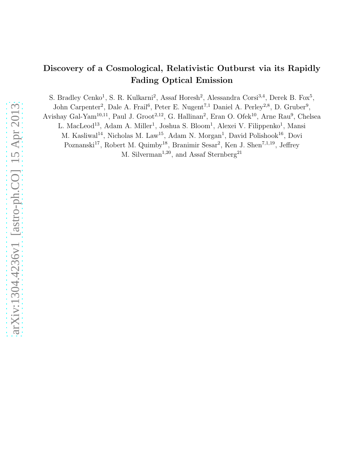# Discovery of a Cosmological, Relativistic Outburst via its Rapidly Fading Optical Emission

S. Bradley Cenko<sup>1</sup>, S. R. Kulkarni<sup>2</sup>, Assaf Horesh<sup>2</sup>, Alessandra Corsi<sup>3,4</sup>, Derek B. Fox<sup>5</sup>,

John Carpenter<sup>2</sup>, Dale A. Frail<sup>6</sup>, Peter E. Nugent<sup>7,1</sup> Daniel A. Perley<sup>2,8</sup>, D. Gruber<sup>9</sup>,

Avishay Gal-Yam<sup>10,11</sup>, Paul J. Groot<sup>2,12</sup>, G. Hallinan<sup>2</sup>, Eran O. Ofek<sup>10</sup>, Arne Rau<sup>9</sup>, Chelsea

L. MacLeod<sup>13</sup>, Adam A. Miller<sup>1</sup>, Joshua S. Bloom<sup>1</sup>, Alexei V. Filippenko<sup>1</sup>, Mansi

M. Kasliwal<sup>14</sup>, Nicholas M. Law<sup>15</sup>, Adam N. Morgan<sup>1</sup>, David Polishook<sup>16</sup>, Dovi

Poznanski<sup>17</sup>, Robert M. Quimby<sup>18</sup>, Branimir Sesar<sup>2</sup>, Ken J. Shen<sup>7,1,19</sup>, Jeffrey

M. Silverman<sup>1,20</sup>, and Assaf Sternberg<sup>21</sup>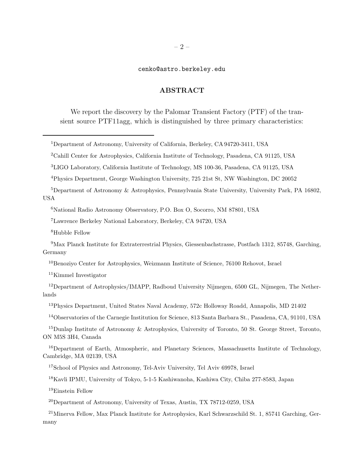# cenko@astro.berkeley.edu

# ABSTRACT

We report the discovery by the Palomar Transient Factory (PTF) of the transient source PTF11agg, which is distinguished by three primary characteristics:

Kimmel Investigator

Einstein Fellow

Department of Astronomy, University of Texas, Austin, TX 78712-0259, USA

Minerva Fellow, Max Planck Institute for Astrophysics, Karl Schwarzschild St. 1, 85741 Garching, Germany

Department of Astronomy, University of California, Berkeley, CA 94720-3411, USA

Cahill Center for Astrophysics, California Institute of Technology, Pasadena, CA 91125, USA

LIGO Laboratory, California Institute of Technology, MS 100-36, Pasadena, CA 91125, USA

Physics Department, George Washington University, 725 21st St, NW Washington, DC 20052

Department of Astronomy & Astrophysics, Pennsylvania State University, University Park, PA 16802, USA

National Radio Astronomy Observatory, P.O. Box O, Socorro, NM 87801, USA

Lawrence Berkeley National Laboratory, Berkeley, CA 94720, USA

Hubble Fellow

Max Planck Institute for Extraterrestrial Physics, Giessenbachstrasse, Postfach 1312, 85748, Garching, Germany

Benoziyo Center for Astrophysics, Weizmann Institute of Science, 76100 Rehovot, Israel

<sup>&</sup>lt;sup>12</sup>Department of Astrophysics/IMAPP, Radboud University Nijmegen, 6500 GL, Nijmegen, The Netherlands

Physics Department, United States Naval Academy, 572c Holloway Roadd, Annapolis, MD 21402

Observatories of the Carnegie Institution for Science, 813 Santa Barbara St., Pasadena, CA, 91101, USA

Dunlap Institute of Astronomy & Astrophysics, University of Toronto, 50 St. George Street, Toronto, ON M5S 3H4, Canada

Department of Earth, Atmospheric, and Planetary Sciences, Massachusetts Institute of Technology, Cambridge, MA 02139, USA

School of Physics and Astronomy, Tel-Aviv University, Tel Aviv 69978, Israel

Kavli IPMU, University of Tokyo, 5-1-5 Kashiwanoha, Kashiwa City, Chiba 277-8583, Japan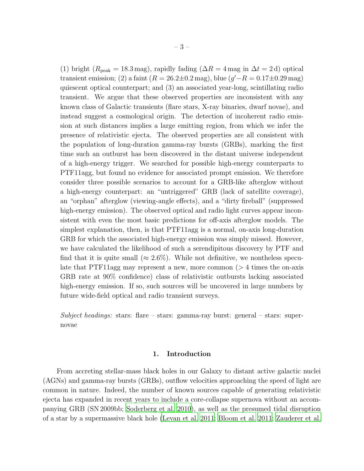(1) bright ( $R_{\text{peak}} = 18.3 \,\text{mag}$ ), rapidly fading ( $\Delta R = 4 \,\text{mag}$  in  $\Delta t = 2 \,\text{d}$ ) optical transient emission; (2) a faint ( $R = 26.2 \pm 0.2$  mag), blue ( $g' - R = 0.17 \pm 0.29$  mag) quiescent optical counterpart; and (3) an associated year-long, scintillating radio transient. We argue that these observed properties are inconsistent with any known class of Galactic transients (flare stars, X-ray binaries, dwarf novae), and instead suggest a cosmological origin. The detection of incoherent radio emission at such distances implies a large emitting region, from which we infer the presence of relativistic ejecta. The observed properties are all consistent with the population of long-duration gamma-ray bursts (GRBs), marking the first time such an outburst has been discovered in the distant universe independent of a high-energy trigger. We searched for possible high-energy counterparts to PTF11agg, but found no evidence for associated prompt emission. We therefore consider three possible scenarios to account for a GRB-like afterglow without a high-energy counterpart: an "untriggered" GRB (lack of satellite coverage), an "orphan" afterglow (viewing-angle effects), and a "dirty fireball" (suppressed high-energy emission). The observed optical and radio light curves appear inconsistent with even the most basic predictions for off-axis afterglow models. The simplest explanation, then, is that PTF11agg is a normal, on-axis long-duration GRB for which the associated high-energy emission was simply missed. However, we have calculated the likelihood of such a serendipitous discovery by PTF and find that it is quite small ( $\approx 2.6\%$ ). While not definitive, we nontheless speculate that PTF11agg may represent a new, more common  $($  > 4 times the on-axis GRB rate at 90% confidence) class of relativistic outbursts lacking associated high-energy emission. If so, such sources will be uncovered in large numbers by future wide-field optical and radio transient surveys.

*Subject headings:* stars: flare – stars: gamma-ray burst: general – stars: supernovae

# 1. Introduction

From accreting stellar-mass black holes in our Galaxy to distant active galactic nuclei (AGNs) and gamma-ray bursts (GRBs), outflow velocities approaching the speed of light are common in nature. Indeed, the number of known sources capable of generating relativistic ejecta has expanded in recent years to include a core-collapse supernova without an accompanying GRB (SN 2009bb; [Soderberg et al. 2010\)](#page-40-0), as well as the presumed tidal disruption of a star by a supermassive black hole [\(Levan et al. 2011;](#page-37-0) [Bloom et al.](#page-35-0) [2011;](#page-35-0) [Zauderer et al.](#page-41-0)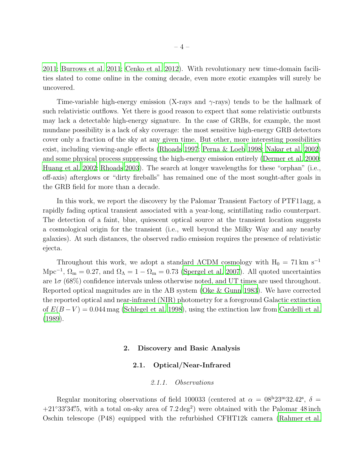[2011;](#page-41-0) [Burrows et al. 2011](#page-35-1); [Cenko et al. 2012\)](#page-35-2). With revolutionary new time-domain facilities slated to come online in the coming decade, even more exotic examples will surely be uncovered.

Time-variable high-energy emission (X-rays and  $\gamma$ -rays) tends to be the hallmark of such relativistic outflows. Yet there is good reason to expect that some relativistic outbursts may lack a detectable high-energy signature. In the case of GRBs, for example, the most mundane possibility is a lack of sky coverage: the most sensitive high-energy GRB detectors cover only a fraction of the sky at any given time. But other, more interesting possibilities exist, including viewing-angle effects [\(Rhoads 1997](#page-39-0); [Perna & Loeb 1998](#page-39-1); [Nakar et al. 2002\)](#page-38-0) and some physical process suppressing the high-energy emission entirely [\(Dermer et al. 2000;](#page-36-0) [Huang et al. 2002](#page-37-1); [Rhoads 2003\)](#page-39-2). The search at longer wavelengths for these "orphan" (i.e., off-axis) afterglows or "dirty fireballs" has remained one of the most sought-after goals in the GRB field for more than a decade.

In this work, we report the discovery by the Palomar Transient Factory of PTF11agg, a rapidly fading optical transient associated with a year-long, scintillating radio counterpart. The detection of a faint, blue, quiescent optical source at the transient location suggests a cosmological origin for the transient (i.e., well beyond the Milky Way and any nearby galaxies). At such distances, the observed radio emission requires the presence of relativistic ejecta.

Throughout this work, we adopt a standard  $\Lambda$ CDM cosmology with H<sub>0</sub> = 71 km s<sup>-1</sup> Mpc<sup>-1</sup>,  $\Omega_{\rm m} = 0.27$ , and  $\Omega_{\Lambda} = 1 - \Omega_{\rm m} = 0.73$  [\(Spergel et al. 2007\)](#page-40-1). All quoted uncertainties are  $1\sigma$  (68%) confidence intervals unless otherwise noted, and UT times are used throughout. Reported optical magnitudes are in the AB system [\(Oke & Gunn 1983\)](#page-38-1). We have corrected the reported optical and near-infrared (NIR) photometry for a foreground Galactic extinction of  $E(B-V) = 0.044$  mag [\(Schlegel et al. 1998](#page-40-2)), using the extinction law from [Cardelli](#page-35-3) et al. [\(1989\)](#page-35-3).

# 2. Discovery and Basic Analysis

## 2.1. Optical/Near-Infrared

# *2.1.1. Observations*

Regular monitoring observations of field 100033 (centered at  $\alpha = 08^{\text{h}}23^{\text{m}}32.42^{\text{s}}$ ,  $\delta =$  $+21°33'34''5$ , with a total on-sky area of  $7.2 \text{ deg}^2$ ) were obtained with the Palomar 48 inch Oschin telescope (P48) equipped with the refurbished CFHT12k camera [\(Rahmer et al.](#page-39-3)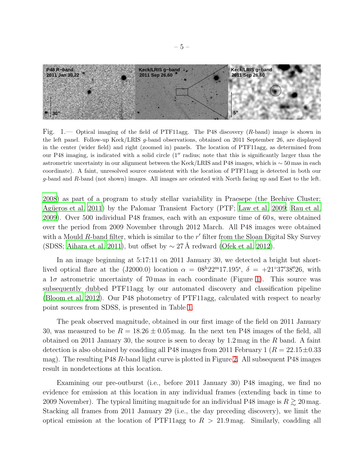

<span id="page-4-0"></span>Fig. 1.— Optical imaging of the field of PTF11agg. The P48 discovery (R-band) image is shown in the left panel. Follow-up Keck/LRIS g-band observations, obtained on 2011 September 26, are displayed in the center (wider field) and right (zoomed in) panels. The location of PTF11agg, as determined from our P48 imaging, is indicated with a solid circle (1′′ radius; note that this is significantly larger than the astrometric uncertainty in our alignment between the Keck/LRIS and P48 images, which is ∼ 50 mas in each coordinate). A faint, unresolved source consistent with the location of PTF11agg is detected in both our g-band and R-band (not shown) images. All images are oriented with North facing up and East to the left.

[2008\)](#page-39-3) as part of a program to study stellar variability in Praesepe (the Beehive Cluster; Agüeros et al. 2011) by the Palomar Transient Factory (PTF; Law [et al. 2009;](#page-37-2) [Rau et al.](#page-39-4) [2009\)](#page-39-4). Over 500 individual P48 frames, each with an exposure time of 60 s, were obtained over the period from 2009 November through 2012 March. All P48 images were obtained with a Mould  $R$ -band filter, which is similar to the  $r'$  filter from the Sloan Digital Sky Survey (SDSS; [Aihara et al. 2011](#page-34-1)), but offset by  $\sim$  27 Å redward [\(Ofek et al. 2012\)](#page-38-2).

In an image beginning at 5:17:11 on 2011 January 30, we detected a bright but shortlived optical flare at the (J2000.0) location  $\alpha = 08^{\text{h}}22^{\text{m}}17.195^{\text{s}}, \delta = +21^{\circ}37'38''26$ , with a  $1\sigma$  astrometric uncertainty of 70 mas in each coordinate (Figure [1\)](#page-4-0). This source was subsequently dubbed PTF11agg by our automated discovery and classification pipeline [\(Bloom et al. 2012\)](#page-35-4). Our P48 photometry of PTF11agg, calculated with respect to nearby point sources from SDSS, is presented in Table [1.](#page-43-0)

The peak observed magnitude, obtained in our first image of the field on 2011 January 30, was measured to be  $R = 18.26 \pm 0.05$  mag. In the next ten P48 images of the field, all obtained on 2011 January 30, the source is seen to decay by  $1.2 \,\mathrm{mag}$  in the R band. A faint detection is also obtained by coadding all P48 images from 2011 February 1 ( $R = 22.15 \pm 0.33$ mag). The resulting P48 R-band light curve is plotted in Figure [2.](#page-5-0) All subsequent P48 images result in nondetections at this location.

Examining our pre-outburst (i.e., before 2011 January 30) P48 imaging, we find no evidence for emission at this location in any individual frames (extending back in time to 2009 November). The typical limiting magnitude for an individual P48 image is  $R \gtrsim 20$  mag. Stacking all frames from 2011 January 29 (i.e., the day preceding discovery), we limit the optical emission at the location of PTF11agg to  $R > 21.9$  mag. Similarly, coadding all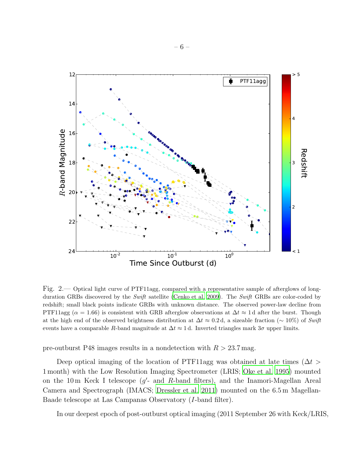

<span id="page-5-0"></span>Fig. 2.— Optical light curve of PTF11agg, compared with a representative sample of afterglows of long-duration GRBs discovered by the Swift satellite [\(Cenko et al. 2009\)](#page-35-5). The Swift GRBs are color-coded by redshift; small black points indicate GRBs with unknown distance. The observed power-law decline from PTF11agg ( $\alpha = 1.66$ ) is consistent with GRB afterglow observations at  $\Delta t \approx 1$  d after the burst. Though at the high end of the observed brightness distribution at  $\Delta t \approx 0.2$  d, a sizeable fraction (∼ 10%) of Swift events have a comparable R-band magnitude at  $\Delta t \approx 1$  d. Inverted triangles mark  $3\sigma$  upper limits.

pre-outburst P48 images results in a nondetection with  $R > 23.7$  mag.

Deep optical imaging of the location of PTF11agg was obtained at late times ( $\Delta t$ ) 1 month) with the Low Resolution Imaging Spectrometer (LRIS; Oke [et al. 1995\)](#page-38-3) mounted on the 10 m Keck I telescope  $(g'$ - and R-band filters), and the Inamori-Magellan Areal Camera and Spectrograph (IMACS; [Dressler et al. 2011](#page-36-1)) mounted on the 6.5 m Magellan-Baade telescope at Las Campanas Observatory (I-band filter).

In our deepest epoch of post-outburst optical imaging (2011 September 26 with Keck/LRIS,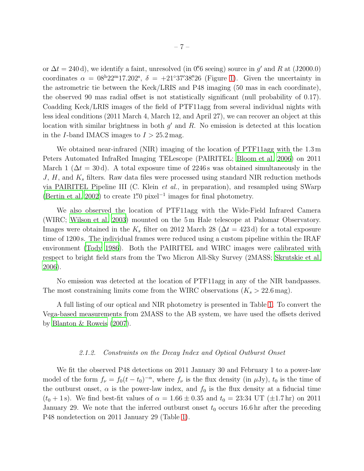or  $\Delta t = 240 \,\text{d}$ , we identify a faint, unresolved (in 0'' 6 seeing) source in g' and R at (J2000.0) coordinates  $\alpha = 08^{\text{h}}22^{\text{m}}17.202^{\text{s}}$ ,  $\delta = +21°37'38''26$  (Figure [1\)](#page-4-0). Given the uncertainty in the astrometric tie between the Keck/LRIS and P48 imaging (50 mas in each coordinate), the observed 90 mas radial offset is not statistically significant (null probability of 0.17). Coadding Keck/LRIS images of the field of PTF11agg from several individual nights with less ideal conditions (2011 March 4, March 12, and April 27), we can recover an object at this location with similar brightness in both  $g'$  and  $R$ . No emission is detected at this location in the *I*-band IMACS images to  $I > 25.2$  mag.

We obtained near-infrared (NIR) imaging of the location of PTF11agg with the 1.3 m Peters Automated InfraRed Imaging TELescope (PAIRITEL; [Bloom et al. 2006\)](#page-35-6) on 2011 March 1 ( $\Delta t = 30 d$ ). A total exposure time of 2246s was obtained simultaneously in the  $J, H$ , and  $K_s$  filters. Raw data files were processed using standard NIR reduction methods via PAIRITEL Pipeline III (C. Klein *et al.*, in preparation), and resampled using SWarp [\(Bertin et al. 2002](#page-35-7)) to create  $1\rlap.{''}0$  pixel<sup>-1</sup> images for final photometry.

We also observed the location of PTF11agg with the Wide-Field Infrared Camera (WIRC; [Wilson et al. 2003\)](#page-40-3) mounted on the 5 m Hale telescope at Palomar Observatory. Images were obtained in the  $K_s$  filter on 2012 March 28 ( $\Delta t = 423$  d) for a total exposure time of 1200 s. The individual frames were reduced using a custom pipeline within the IRAF environment [\(Tody 1986](#page-40-4)). Both the PAIRITEL and WIRC images were calibrated with respect to bright field stars from the Two Micron All-Sky Survey (2MASS; [Skrutskie et al.](#page-40-5) [2006\)](#page-40-5).

No emission was detected at the location of PTF11agg in any of the NIR bandpasses. The most constraining limits come from the WIRC observations  $(K_s > 22.6 \text{ mag}).$ 

A full listing of our optical and NIR photometry is presented in Table [1.](#page-43-0) To convert the Vega-based measurements from 2MASS to the AB system, we have used the offsets derived by [Blanton & Roweis \(2007\)](#page-35-8).

# *2.1.2. Constraints on the Decay Index and Optical Outburst Onset*

<span id="page-6-0"></span>We fit the observed P48 detections on 2011 January 30 and February 1 to a power-law model of the form  $f_{\nu} = f_0(t - t_0)^{-\alpha}$ , where  $f_{\nu}$  is the flux density (in  $\mu$ Jy),  $t_0$  is the time of the outburst onset,  $\alpha$  is the power-law index, and  $f_0$  is the flux density at a fiducial time  $(t_0 + 1 s)$ . We find best-fit values of  $\alpha = 1.66 \pm 0.35$  and  $t_0 = 23:34$  UT ( $\pm 1.7$  hr) on 2011 January 29. We note that the inferred outburst onset  $t_0$  occurs 16.6 hr after the preceding P48 nondetection on 2011 January 29 (Table [1\)](#page-43-0).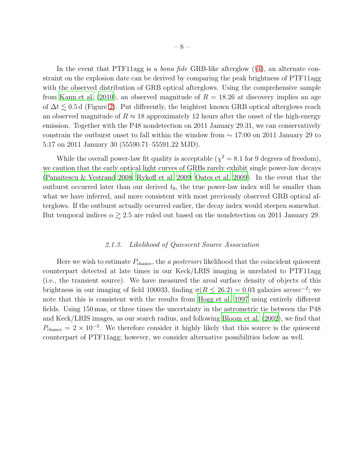In the event that PTF11agg is a *bona fide* GRB-like afterglow (§[4\)](#page-18-0), an alternate constraint on the explosion date can be derived by comparing the peak brightness of PTF11agg with the observed distribution of GRB optical afterglows. Using the comprehensive sample from [Kann et al. \(2010\)](#page-37-3), an observed magnitude of  $R = 18.26$  at discovery implies an age of  $\Delta t \lesssim 0.5$  d (Figure [2\)](#page-5-0). Put differently, the brightest known GRB optical afterglows reach an observed magnitude of  $R \approx 18$  approximately 12 hours after the onset of the high-energy emission. Together with the P48 nondetection on 2011 January 29.31, we can conservatively constrain the outburst onset to fall within the window from ∼ 17:00 on 2011 January 29 to 5:17 on 2011 January 30 (55590.71–55591.22 MJD).

While the overall power-law fit quality is acceptable ( $\chi^2 = 8.1$  for 9 degrees of freedom), we caution that the early optical light curves of GRBs rarely exhibit single power-law decays [\(Panaitescu & Vestrand 2008](#page-38-4); [Rykoff et al. 2009;](#page-39-5) [Oates et al. 2009\)](#page-38-5). In the event that the outburst occurred later than our derived  $t_0$ , the true power-law index will be smaller than what we have inferred, and more consistent with most previously observed GRB optical afterglows. If the outburst actually occurred earlier, the decay index would steepen somewhat. But temporal indices  $\alpha \gtrsim 2.5$  are ruled out based on the nondetection on 2011 January 29.

# *2.1.3. Likelihood of Quiescent Source Association*

<span id="page-7-0"></span>Here we wish to estimate Pchance, the *a posteriori* likelihood that the coincident quiescent counterpart detected at late times in our Keck/LRIS imaging is unrelated to PTF11agg (i.e., the transient source). We have measured the areal surface density of objects of this brightness in our imaging of field 100033, finding  $\sigma(R \leq 26.2) = 0.03$  galaxies arcsec<sup>-2</sup>; we note that this is consistent with the results from [Hogg et al. 1997](#page-37-4) using entirely different fields. Using 150 mas, or three times the uncertainty in the astrometric tie between the P48 and Keck/LRIS images, as our search radius, and following [Bloom et al. \(2002](#page-35-9)), we find that  $P_{\text{chance}} = 2 \times 10^{-3}$ . We therefore consider it highly likely that this source is the quiescent counterpart of PTF11agg; however, we consider alternative possibilities below as well.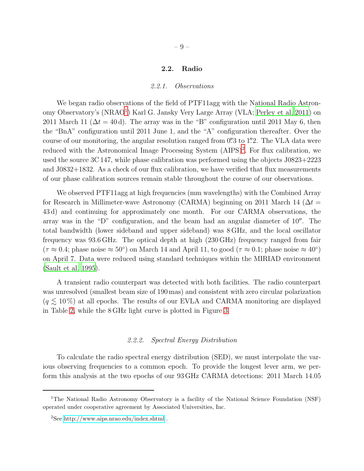#### 2.2. Radio

#### *2.2.1. Observations*

We began radio observations of the field of PTF11agg with the National Radio Astron-omy Observatory's (NRAO<sup>[1](#page-8-0)</sup>) Karl G. Jansky Very Large Array (VLA; [Perley et al. 2011\)](#page-38-6) on 2011 March 11 ( $\Delta t = 40$  d). The array was in the "B" configuration until 2011 May 6, then the "BnA" configuration until 2011 June 1, and the "A" configuration thereafter. Over the course of our monitoring, the angular resolution ranged from 0'' 3 to 1". 2. The VLA data were reduced with the Astronomical Image Processing System (AIPS)<sup>[2](#page-8-1)</sup>. For flux calibration, we used the source 3C 147, while phase calibration was performed using the objects J0823+2223 and J0832+1832. As a check of our flux calibration, we have verified that flux measurements of our phase calibration sources remain stable throughout the course of our observations.

We observed PTF11agg at high frequencies (mm wavelengths) with the Combined Array for Research in Millimeter-wave Astronomy (CARMA) beginning on 2011 March 14 ( $\Delta t =$ 43 d) and continuing for approximately one month. For our CARMA observations, the array was in the "D" configuration, and the beam had an angular diameter of 10′′. The total bandwidth (lower sideband and upper sideband) was 8 GHz, and the local oscillator frequency was 93.6 GHz. The optical depth at high (230 GHz) frequency ranged from fair  $(\tau \approx 0.4;$  phase noise  $\approx 50^{\circ}$ ) on March 14 and April 11, to good  $(\tau \approx 0.1;$  phase noise  $\approx 40^{\circ}$ ) on April 7. Data were reduced using standard techniques within the MIRIAD environment [\(Sault et al. 1995\)](#page-39-6).

A transient radio counterpart was detected with both facilities. The radio counterpart was unresolved (smallest beam size of 190 mas) and consistent with zero circular polarization  $(q \lesssim 10\%)$  at all epochs. The results of our EVLA and CARMA monitoring are displayed in Table [2,](#page-44-0) while the 8 GHz light curve is plotted in Figure [3.](#page-9-0)

# *2.2.2. Spectral Energy Distribution*

To calculate the radio spectral energy distribution (SED), we must interpolate the various observing frequencies to a common epoch. To provide the longest lever arm, we perform this analysis at the two epochs of our 93 GHz CARMA detections: 2011 March 14.05

<span id="page-8-0"></span><sup>&</sup>lt;sup>1</sup>The National Radio Astronomy Observatory is a facility of the National Science Foundation (NSF) operated under cooperative agreement by Associated Universities, Inc.

<span id="page-8-1"></span><sup>2</sup>See<http://www.aips.nrao.edu/index.shtml> .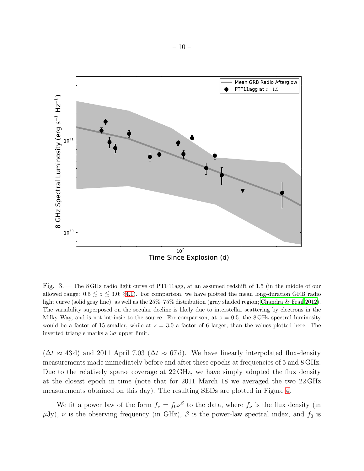

<span id="page-9-0"></span>Fig. 3.— The 8 GHz radio light curve of PTF11agg, at an assumed redshift of 1.5 (in the middle of our allowed range:  $0.5 \le z \le 3.0$ ; §[4.1\)](#page-19-0). For comparison, we have plotted the mean long-duration GRB radio light curve (solid gray line), as well as the 25%–75% distribution (gray shaded region; [Chandra & Frail 2012\)](#page-35-10). The variability superposed on the secular decline is likely due to interstellar scattering by electrons in the Milky Way, and is not intrinsic to the source. For comparison, at  $z = 0.5$ , the 8 GHz spectral luminosity would be a factor of 15 smaller, while at  $z = 3.0$  a factor of 6 larger, than the values plotted here. The inverted triangle marks a  $3\sigma$  upper limit.

 $(\Delta t \approx 43 d)$  and 2011 April 7.03 ( $\Delta t \approx 67 d$ ). We have linearly interpolated flux-density measurements made immediately before and after these epochs at frequencies of 5 and 8 GHz. Due to the relatively sparse coverage at 22 GHz, we have simply adopted the flux density at the closest epoch in time (note that for 2011 March 18 we averaged the two 22 GHz measurements obtained on this day). The resulting SEDs are plotted in Figure [4.](#page-10-0)

We fit a power law of the form  $f_{\nu} = f_0 \nu^{\beta}$  to the data, where  $f_{\nu}$  is the flux density (in  $\mu$ Jy),  $\nu$  is the observing frequency (in GHz),  $\beta$  is the power-law spectral index, and  $f_0$  is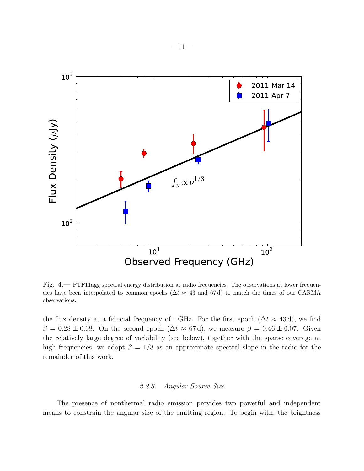

<span id="page-10-0"></span>Fig. 4.— PTF11agg spectral energy distribution at radio frequencies. The observations at lower frequencies have been interpolated to common epochs ( $\Delta t \approx 43$  and 67d) to match the times of our CARMA observations.

the flux density at a fiducial frequency of 1 GHz. For the first epoch  $(\Delta t \approx 43 d)$ , we find  $\beta = 0.28 \pm 0.08$ . On the second epoch  $(\Delta t \approx 67 d)$ , we measure  $\beta = 0.46 \pm 0.07$ . Given the relatively large degree of variability (see below), together with the sparse coverage at high frequencies, we adopt  $\beta = 1/3$  as an approximate spectral slope in the radio for the remainder of this work.

# *2.2.3. Angular Source Size*

<span id="page-10-1"></span>The presence of nonthermal radio emission provides two powerful and independent means to constrain the angular size of the emitting region. To begin with, the brightness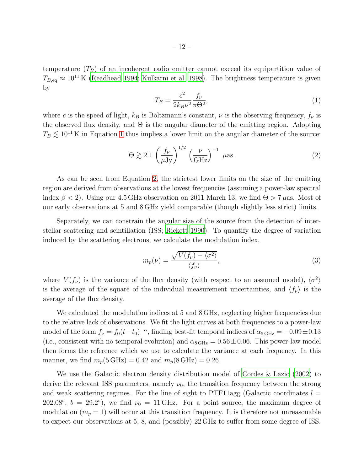temperature  $(T_B)$  of an incoherent radio emitter cannot exceed its equipartition value of  $T_{B,\text{eq}} \approx 10^{11} \text{ K}$  [\(Readhead 1994;](#page-39-7) [Kulkarni et al. 1998\)](#page-37-5). The brightness temperature is given by

<span id="page-11-0"></span>
$$
T_B = \frac{c^2}{2k_B\nu^2} \frac{f_\nu}{\pi\Theta^2},\tag{1}
$$

where c is the speed of light,  $k_B$  is Boltzmann's constant,  $\nu$  is the observing frequency,  $f_{\nu}$  is the observed flux density, and  $\Theta$  is the angular diameter of the emitting region. Adopting  $T_B \lesssim 10^{11}$  $T_B \lesssim 10^{11}$  $T_B \lesssim 10^{11}$  K in Equation 1 thus implies a lower limit on the angular diameter of the source:

<span id="page-11-1"></span>
$$
\Theta \gtrsim 2.1 \left( \frac{f_{\nu}}{\mu \text{Jy}} \right)^{1/2} \left( \frac{\nu}{\text{GHz}} \right)^{-1} \text{ } \mu \text{as.} \tag{2}
$$

As can be seen from Equation [2,](#page-11-1) the strictest lower limits on the size of the emitting region are derived from observations at the lowest frequencies (assuming a power-law spectral index  $\beta$  < 2). Using our 4.5 GHz observation on 2011 March 13, we find  $\Theta$  > 7  $\mu$ as. Most of our early observations at 5 and 8 GHz yield comparable (though slightly less strict) limits.

Separately, we can constrain the angular size of the source from the detection of interstellar scattering and scintillation (ISS; [Rickett 1990](#page-39-8)). To quantify the degree of variation induced by the scattering electrons, we calculate the modulation index,

$$
m_p(\nu) = \frac{\sqrt{V(f_\nu) - \langle \sigma^2 \rangle}}{\langle f_\nu \rangle},\tag{3}
$$

where  $V(f_\nu)$  is the variance of the flux density (with respect to an assumed model),  $\langle \sigma^2 \rangle$ is the average of the square of the individual measurement uncertainties, and  $\langle f_\nu \rangle$  is the average of the flux density.

We calculated the modulation indices at 5 and 8 GHz, neglecting higher frequencies due to the relative lack of observations. We fit the light curves at both frequencies to a power-law model of the form  $f_{\nu} = f_0(t-t_0)^{-\alpha}$ , finding best-fit temporal indices of  $\alpha_{5 \text{ GHz}} = -0.09 \pm 0.13$ (i.e., consistent with no temporal evolution) and  $\alpha_{8\,\text{GHz}} = 0.56 \pm 0.06$ . This power-law model then forms the reference which we use to calculate the variance at each frequency. In this manner, we find  $m_p(5\text{ GHz}) = 0.42$  and  $m_p(8\text{ GHz}) = 0.26$ .

We use the Galactic electron density distribution model of [Cordes & Lazio \(2002](#page-36-2)) to derive the relevant ISS parameters, namely  $\nu_0$ , the transition frequency between the strong and weak scattering regimes. For the line of sight to PTF11agg (Galactic coordinates  $l =$ 202.08°,  $b = 29.2$ °), we find  $\nu_0 = 11 \text{ GHz}$ . For a point source, the maximum degree of modulation  $(m_p = 1)$  will occur at this transition frequency. It is therefore not unreasonable to expect our observations at 5, 8, and (possibly) 22 GHz to suffer from some degree of ISS.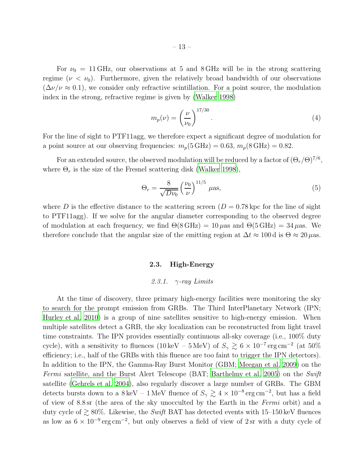For  $\nu_0 = 11 \text{ GHz}$ , our observations at 5 and 8 GHz will be in the strong scattering regime ( $\nu < \nu_0$ ). Furthermore, given the relatively broad bandwidth of our observations  $(\Delta \nu/\nu \approx 0.1)$ , we consider only refractive scintillation. For a point source, the modulation index in the strong, refractive regime is given by [\(Walker 1998](#page-40-6))

$$
m_p(\nu) = \left(\frac{\nu}{\nu_0}\right)^{17/30}.\tag{4}
$$

For the line of sight to PTF11agg, we therefore expect a significant degree of modulation for a point source at our observing frequencies:  $m_p(5\text{ GHz}) = 0.63$ ,  $m_p(8\text{ GHz}) = 0.82$ .

For an extended source, the observed modulation will be reduced by a factor of  $(\Theta_r/\Theta)^{7/6}$ , where  $\Theta_r$  is the size of the Fresnel scattering disk [\(Walker 1998\)](#page-40-6),

$$
\Theta_r = \frac{8}{\sqrt{D\nu_0}} \left(\frac{\nu_0}{\nu}\right)^{11/5} \mu \text{as},\tag{5}
$$

where D is the effective distance to the scattering screen  $(D = 0.78 \text{ kpc}$  for the line of sight to PTF11agg). If we solve for the angular diameter corresponding to the observed degree of modulation at each frequency, we find  $\Theta(8\text{ GHz}) = 10 \,\mu\text{as}$  and  $\Theta(5\text{ GHz}) = 34 \,\mu\text{as}$ . We therefore conclude that the angular size of the emitting region at  $\Delta t \approx 100 \,\mathrm{d}$  is  $\Theta \approx 20 \,\mathrm{\mu as}$ .

# 2.3. High-Energy

#### *2.3.1.* γ*-ray Limits*

<span id="page-12-0"></span>At the time of discovery, three primary high-energy facilities were monitoring the sky to search for the prompt emission from GRBs. The Third InterPlanetary Network (IPN; [Hurley et al. 2010](#page-37-6)) is a group of nine satellites sensitive to high-energy emission. When multiple satellites detect a GRB, the sky localization can be reconstructed from light travel time constraints. The IPN provides essentially continuous all-sky coverage (i.e., 100% duty cycle), with a sensitivity to fluences (10 keV – 5 MeV) of  $S_\gamma \gtrsim 6 \times 10^{-7} \, \rm erg \, cm^{-2}$  (at 50%) efficiency; i.e., half of the GRBs with this fluence are too faint to trigger the IPN detectors). In addition to the IPN, the Gamma-Ray Burst Monitor (GBM; [Meegan](#page-38-7) et al. [2009\)](#page-38-7) on the *Fermi* satellite, and the Burst Alert Telescope (BAT; [Barthelmy et al. 2005](#page-34-2)) on the *Swift* satellite [\(Gehrels et al. 2004](#page-36-3)), also regularly discover a large number of GRBs. The GBM detects bursts down to a  $8 \text{ keV} - 1 \text{ MeV}$  fluence of  $S_\gamma \gtrsim 4 \times 10^{-8} \text{ erg cm}^{-2}$ , but has a field of view of 8.8 sr (the area of the sky unocculted by the Earth in the *Fermi* orbit) and a duty cycle of  $\gtrsim 80\%$ . Likewise, the *Swift* BAT has detected events with 15–150 keV fluences as low as  $6 \times 10^{-9}$  erg cm<sup>-2</sup>, but only observes a field of view of 2 sr with a duty cycle of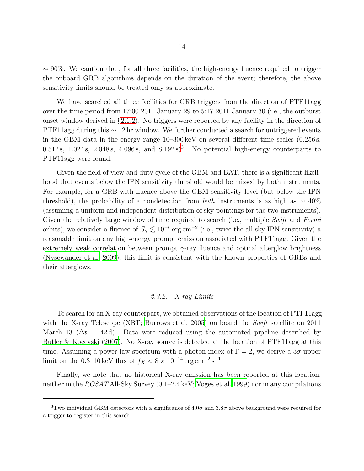$\sim$  90%. We caution that, for all three facilities, the high-energy fluence required to trigger the onboard GRB algorithms depends on the duration of the event; therefore, the above sensitivity limits should be treated only as approximate.

We have searched all three facilities for GRB triggers from the direction of PTF11agg over the time period from 17:00 2011 January 29 to 5:17 2011 January 30 (i.e., the outburst onset window derived in §[2.1.2\)](#page-6-0). No triggers were reported by any facility in the direction of PTF11agg during this ~ 12 hr window. We further conducted a search for untriggered events in the GBM data in the energy range 10–300 keV on several different time scales (0.256 s,  $0.512$  s,  $1.024$  s,  $2.048$  s,  $4.096$  s, and  $8.192$  s)<sup>[3](#page-13-0)</sup>. No potential high-energy counterparts to PTF11agg were found.

Given the field of view and duty cycle of the GBM and BAT, there is a significant likelihood that events below the IPN sensitivity threshold would be missed by both instruments. For example, for a GRB with fluence above the GBM sensitivity level (but below the IPN threshold), the probability of a nondetection from *both* instruments is as high as ∼ 40% (assuming a uniform and independent distribution of sky pointings for the two instruments). Given the relatively large window of time required to search (i.e., multiple *Swift* and *Fermi* orbits), we consider a fluence of  $S_\gamma \lesssim 10^{-6} \text{ erg cm}^{-2}$  (i.e., twice the all-sky IPN sensitivity) a reasonable limit on any high-energy prompt emission associated with PTF11agg. Given the extremely weak correlation between prompt  $\gamma$ -ray fluence and optical afterglow brightness [\(Nysewander et al. 2009](#page-38-8)), this limit is consistent with the known properties of GRBs and their afterglows.

#### *2.3.2. X-ray Limits*

<span id="page-13-1"></span>To search for an X-ray counterpart, we obtained observations of the location of PTF11agg with the X-ray Telescope (XRT; [Burrows et al. 2005](#page-35-11)) on board the *Swift* satellite on 2011 March 13 ( $\Delta t = 42 d$ ). Data were reduced using the automated pipeline described by [Butler & Kocevski \(2007\)](#page-35-12). No X-ray source is detected at the location of PTF11agg at this time. Assuming a power-law spectrum with a photon index of  $\Gamma = 2$ , we derive a  $3\sigma$  upper limit on the 0.3–10 keV flux of  $f_X < 8 \times 10^{-14} \,\text{erg\,cm}^{-2}\,\text{s}^{-1}$ .

Finally, we note that no historical X-ray emission has been reported at this location, neither in the *ROSAT* All-Sky Survey (0.1–2.4 keV; [Voges et al. 1999\)](#page-40-7) nor in any compilations

<span id="page-13-0"></span><sup>&</sup>lt;sup>3</sup>Two individual GBM detectors with a significance of  $4.0\sigma$  and  $3.8\sigma$  above background were required for a trigger to register in this search.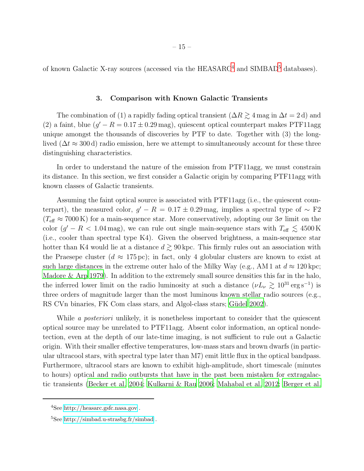of known Galactic X-ray sources (accessed via the HEASARC<sup>[4](#page-14-0)</sup> and SIMBAD<sup>[5](#page-14-1)</sup> databases).

# 3. Comparison with Known Galactic Transients

The combination of (1) a rapidly fading optical transient ( $\Delta R \gtrsim 4$  mag in  $\Delta t = 2$  d) and (2) a faint, blue  $(g' - R = 0.17 \pm 0.29 \,\text{mag})$ , quiescent optical counterpart makes PTF11agg unique amongst the thousands of discoveries by PTF to date. Together with (3) the longlived ( $\Delta t \approx 300 \,\text{d}$ ) radio emission, here we attempt to simultaneously account for these three distinguishing characteristics.

In order to understand the nature of the emission from PTF11agg, we must constrain its distance. In this section, we first consider a Galactic origin by comparing PTF11agg with known classes of Galactic transients.

Assuming the faint optical source is associated with PTF11agg (i.e., the quiescent counterpart), the measured color,  $g' - R = 0.17 \pm 0.29$  mag, implies a spectral type of  $\sim$  F2  $(T_{\text{eff}} \approx 7000 \text{ K})$  for a main-sequence star. More conservatively, adopting our  $3\sigma$  limit on the color  $(g' - R < 1.04 \,\text{mag})$ , we can rule out single main-sequence stars with  $T_{\text{eff}} \lesssim 4500 \,\text{K}$ (i.e., cooler than spectral type K4). Given the observed brightness, a main-sequence star hotter than K4 would lie at a distance  $d \gtrsim 90 \,\text{kpc}$ . This firmly rules out an association with the Praesepe cluster  $(d \approx 175 \,\text{pc})$ ; in fact, only 4 globular clusters are known to exist at such large distances in the extreme outer halo of the Milky Way (e.g., AM 1 at  $d \approx 120$  kpc; [Madore & Arp 1979](#page-38-9)). In addition to the extremely small source densities this far in the halo, the inferred lower limit on the radio luminosity at such a distance  $(\nu L_{\nu} \gtrsim 10^{31} \text{ erg s}^{-1})$  is three orders of magnitude larger than the most luminous known stellar radio sources (e.g., RS CVn binaries, FK Com class stars, and Algol-class stars; Güdel 2002).

While *a posteriori* unlikely, it is nonetheless important to consider that the quiescent optical source may be unrelated to PTF11agg. Absent color information, an optical nondetection, even at the depth of our late-time imaging, is not sufficient to rule out a Galactic origin. With their smaller effective temperatures, low-mass stars and brown dwarfs (in particular ultracool stars, with spectral type later than M7) emit little flux in the optical bandpass. Furthermore, ultracool stars are known to exhibit high-amplitude, short timescale (minutes to hours) optical and radio outbursts that have in the past been mistaken for extragalactic transients [\(Becker et al. 2004](#page-34-3); [Kulkarni & Rau 2006;](#page-37-7) [Mahabal et al. 2012;](#page-38-10) [Berger et al.](#page-34-4)

<sup>4</sup>See<http://heasarc.gsfc.nasa.gov> .

<span id="page-14-1"></span><span id="page-14-0"></span> $5$ See<http://simbad.u-strasbg.fr/simbad>.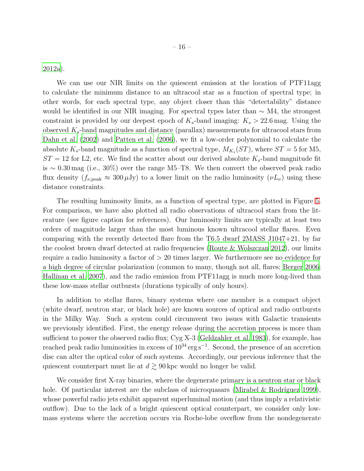[2012a](#page-34-4)).

We can use our NIR limits on the quiescent emission at the location of PTF11agg to calculate the minimum distance to an ultracool star as a function of spectral type; in other words, for each spectral type, any object closer than this "detectability" distance would be identified in our NIR imaging. For spectral types later than  $\sim$  M4, the strongest constraint is provided by our deepest epoch of  $K_s$ -band imaging:  $K_s > 22.6$  mag. Using the observed  $K_s$ -band magnitudes and distance (parallax) measurements for ultracool stars from [Dahn et al. \(2002](#page-36-5)) and [Patten et al. \(2006\)](#page-38-11), we fit a low-order polynomial to calculate the absolute  $K_s$ -band magnitude as a function of spectral type,  $M_{K_s}(ST)$ , where  $ST = 5$  for M5,  $ST = 12$  for L2, etc. We find the scatter about our derived absolute  $K_s$ -band magnitude fit is ∼ 0.30 mag (i.e., 30%) over the range M5–T8. We then convert the observed peak radio flux density  $(f_{\nu,\text{peak}} \approx 300 \,\mu\text{Jy})$  to a lower limit on the radio luminosity  $(\nu L_{\nu})$  using these distance constraints.

The resulting luminosity limits, as a function of spectral type, are plotted in Figure [5.](#page-16-0) For comparison, we have also plotted all radio observations of ultracool stars from the literature (see figure caption for references). Our luminosity limits are typically at least two orders of magnitude larger than the most luminous known ultracool stellar flares. Even comparing with the recently detected flare from the T6.5 dwarf 2MASS J1047+21, by far the coolest brown dwarf detected at radio frequencies [\(Route & Wolszczan 2012](#page-39-9)), our limits require a radio luminosity a factor of  $> 20$  times larger. We furthermore see no evidence for a high degree of circular polarization (common to many, though not all, flares; [Berger 2006;](#page-34-5) [Hallinan et al. 2007\)](#page-36-6), and the radio emission from PTF11agg is much more long-lived than these low-mass stellar outbursts (durations typically of only hours).

In addition to stellar flares, binary systems where one member is a compact object (white dwarf, neutron star, or black hole) are known sources of optical and radio outbursts in the Milky Way. Such a system could circumvent two issues with Galactic transients we previously identified. First, the energy release during the accretion process is more than sufficient to power the observed radio flux; Cyg X-3 [\(Geldzahler et al. 1983](#page-36-7)), for example, has reached peak radio luminosities in excess of  $10^{34} \text{ erg s}^{-1}$ . Second, the presence of an accretion disc can alter the optical color of such systems. Accordingly, our previous inference that the quiescent counterpart must lie at  $d \geq 90$  kpc would no longer be valid.

We consider first X-ray binaries, where the degenerate primary is a neutron star or black hole. Of particular interest are the subclass of microquasars (Mirabel & Rodríguez 1999), whose powerful radio jets exhibit apparent superluminal motion (and thus imply a relativistic outflow). Due to the lack of a bright quiescent optical counterpart, we consider only lowmass systems where the accretion occurs via Roche-lobe overflow from the nondegenerate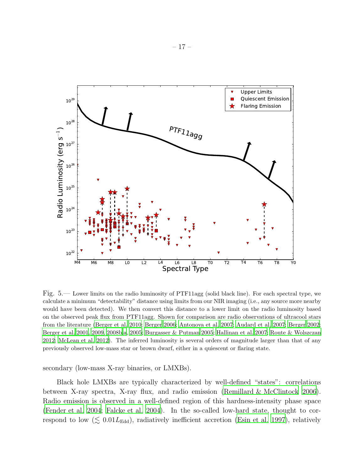

<span id="page-16-0"></span>Fig. 5.— Lower limits on the radio luminosity of PTF11agg (solid black line). For each spectral type, we calculate a minimum "detectability" distance using limits from our NIR imaging (i.e., any source more nearby would have been detected). We then convert this distance to a lower limit on the radio luminosity based on the observed peak flux from PTF11agg. Shown for comparison are radio observations of ultracool stars from the literature [\(Berger et al. 2010;](#page-34-6) [Berger 2006;](#page-34-5) [Antonova et al. 2007;](#page-34-7) [Audard et al. 2007;](#page-34-8) [Berger 2002](#page-34-9); [Berger et al. 2001,](#page-34-10) [2009](#page-34-11), [2008b](#page-34-12)[,a,](#page-34-13) [2005;](#page-34-14) [Burgasser & Putman 2005;](#page-35-13) [Hallinan et al. 2007](#page-36-6); [Route & Wolszczan](#page-39-9) [2012;](#page-39-9) [McLean et al. 2012\)](#page-38-13). The inferred luminosity is several orders of magnitude larger than that of any previously observed low-mass star or brown dwarf, either in a quiescent or flaring state.

secondary (low-mass X-ray binaries, or LMXBs).

Black hole LMXBs are typically characterized by well-defined "states": correlations between X-ray spectra, X-ray flux, and radio emission [\(Remillard & McClintock 2006](#page-39-10)). Radio emission is observed in a well-defined region of this hardness-intensity phase space [\(Fender et al. 2004](#page-36-8); [Falcke et al. 2004\)](#page-36-9). In the so-called low-hard state, thought to correspond to low ( $\lesssim 0.01L_{\rm Edd}$ ), radiatively inefficient accretion [\(Esin et al. 1997\)](#page-36-10), relatively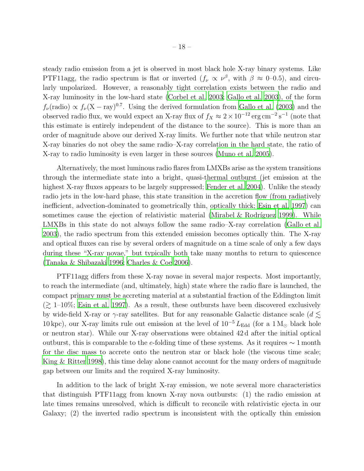steady radio emission from a jet is observed in most black hole X-ray binary systems. Like PTF11agg, the radio spectrum is flat or inverted  $(f_{\nu} \propto \nu^{\beta})$ , with  $\beta \approx 0$ –0.5), and circularly unpolarized. However, a reasonably tight correlation exists between the radio and X-ray luminosity in the low-hard state [\(Corbel et al. 2003;](#page-36-11) [Gallo et al.](#page-36-12) [2003](#page-36-12)), of the form  $f_{\nu}$ (radio)  $\propto f_{\nu}$ (X – ray)<sup>0.7</sup>. Using the derived formulation from [Gallo et al. \(2003\)](#page-36-12) and the observed radio flux, we would expect an X-ray flux of  $f_X \approx 2 \times 10^{-12} \text{ erg cm}^{-2} \text{ s}^{-1}$  (note that this estimate is entirely independent of the distance to the source). This is more than an order of magnitude above our derived X-ray limits. We further note that while neutron star X-ray binaries do not obey the same radio–X-ray correlation in the hard state, the ratio of X-ray to radio luminosity is even larger in these sources [\(Muno et al. 2005](#page-38-14)).

Alternatively, the most luminous radio flares from LMXBs arise as the system transitions through the intermediate state into a bright, quasi-thermal outburst (jet emission at the highest X-ray fluxes appears to be largely suppressed; [Fender et](#page-36-8) al. [2004\)](#page-36-8). Unlike the steady radio jets in the low-hard phase, this state transition in the accretion flow (from radiatively inefficient, advection-dominated to geometrically thin, optically thick; [Esin et al. 1997\)](#page-36-10) can sometimes cause the ejection of relativistic material (Mirabel  $\&$  Rodríguez 1999). While LMXBs in this state do not always follow the same radio–X-ray correlation [\(Gallo et al.](#page-36-12) [2003\)](#page-36-12), the radio spectrum from this extended emission becomes optically thin. The X-ray and optical fluxes can rise by several orders of magnitude on a time scale of only a few days during these "X-ray novae," but typically both take many months to return to quiescence [\(Tanaka & Shibazaki 1996](#page-40-8); [Charles & Coe 2006\)](#page-35-14).

PTF11agg differs from these X-ray novae in several major respects. Most importantly, to reach the intermediate (and, ultimately, high) state where the radio flare is launched, the compact primary must be accreting material at a substantial fraction of the Eddington limit  $(\gtrsim 1{\text -}10\%;$  [Esin et al. 1997](#page-36-10)). As a result, these outbursts have been discovered exclusively by wide-field X-ray or  $\gamma$ -ray satellites. But for any reasonable Galactic distance scale ( $d \lesssim$ 10 kpc), our X-ray limits rule out emission at the level of  $10^{-5} L_{\text{Edd}}$  (for a 1 M<sub>☉</sub> black hole or neutron star). While our X-ray observations were obtained 42 d after the initial optical outburst, this is comparable to the e-folding time of these systems. As it requires  $\sim 1$  month for the disc mass to accrete onto the neutron star or black hole (the viscous time scale; [King & Ritter 1998](#page-37-8)), this time delay alone cannot account for the many orders of magnitude gap between our limits and the required X-ray luminosity.

In addition to the lack of bright X-ray emission, we note several more characteristics that distinguish PTF11agg from known X-ray nova outbursts: (1) the radio emission at late times remains unresolved, which is difficult to reconcile with relativistic ejecta in our Galaxy; (2) the inverted radio spectrum is inconsistent with the optically thin emission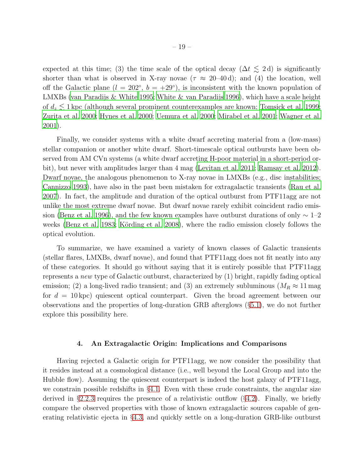expected at this time; (3) the time scale of the optical decay ( $\Delta t \leq 2 d$ ) is significantly shorter than what is observed in X-ray novae ( $\tau \approx 20{\text -}40 \,\text{d}$ ); and (4) the location, well off the Galactic plane  $(l = 202^{\circ}, b = +29^{\circ})$ , is inconsistent with the known population of LMXBs [\(van Paradijs & White 1995;](#page-40-9) [White & van Paradijs 1996\)](#page-40-10), which have a scale height of  $d_z \lesssim 1$  kpc (although several prominent counterexamples are known; [Tomsick et al. 1999;](#page-40-11) [Zurita et al. 2000;](#page-41-1) [Hynes et al. 2000](#page-37-9); [Uemura et al. 2000;](#page-40-12) [Mirabel et](#page-38-15) al. [2001](#page-38-15); [Wagner et al.](#page-40-13) [2001\)](#page-40-13).

Finally, we consider systems with a white dwarf accreting material from a (low-mass) stellar companion or another white dwarf. Short-timescale optical outbursts have been observed from AM CVn systems (a white dwarf accreting H-poor material in a short-period orbit), but never with amplitudes larger than 4 mag [\(Levitan et al. 2011](#page-37-10); [Ramsay et al. 2012](#page-39-11)). Dwarf novae, the analogous phenomenon to X-ray novae in LMXBs (e.g., disc instabilities; [Cannizzo 1993](#page-35-15)), have also in the past been mistaken for extragalactic transients [\(Rau et al.](#page-39-12) [2007\)](#page-39-12). In fact, the amplitude and duration of the optical outburst from PTF11agg are not unlike the most extreme dwarf novae. But dwarf novae rarely exhibit coincident radio emis-sion [\(Benz et al. 1996\)](#page-34-15), and the few known examples have outburst durations of only  $\sim 1$ –2 weeks [\(Benz et al. 1983;](#page-34-16) Körding et al. 2008), where the radio emission closely follows the optical evolution.

To summarize, we have examined a variety of known classes of Galactic transients (stellar flares, LMXBs, dwarf novae), and found that PTF11agg does not fit neatly into any of these categories. It should go without saying that it is entirely possible that PTF11agg represents a *new* type of Galactic outburst, characterized by (1) bright, rapidly fading optical emission; (2) a long-lived radio transient; and (3) an extremely subluminous ( $M_R \approx 11$  mag for  $d = 10 \text{ kpc}$  quiescent optical counterpart. Given the broad agreement between our observations and the properties of long-duration GRB afterglows (§[5.1\)](#page-22-0), we do not further explore this possibility here.

## 4. An Extragalactic Origin: Implications and Comparisons

<span id="page-18-0"></span>Having rejected a Galactic origin for PTF11agg, we now consider the possibility that it resides instead at a cosmological distance (i.e., well beyond the Local Group and into the Hubble flow). Assuming the quiescent counterpart is indeed the host galaxy of PTF11agg, we constrain possible redshifts in §[4.1.](#page-19-0) Even with these crude constraints, the angular size derived in  $\S 2.2.3$  $\S 2.2.3$  requires the presence of a relativistic outflow  $(\S 4.2)$  $(\S 4.2)$ . Finally, we briefly compare the observed properties with those of known extragalactic sources capable of generating relativistic ejecta in §[4.3,](#page-20-0) and quickly settle on a long-duration GRB-like outburst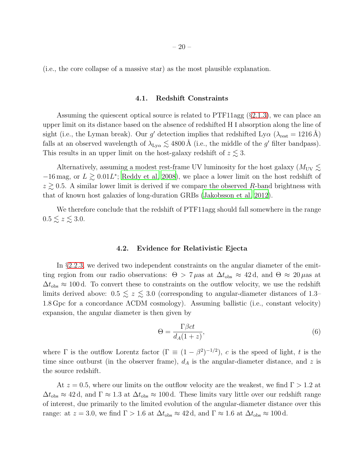<span id="page-19-0"></span>(i.e., the core collapse of a massive star) as the most plausible explanation.

# 4.1. Redshift Constraints

– 20 –

Assuming the quiescent optical source is related to PTF11agg (§[2.1.3\)](#page-7-0), we can place an upper limit on its distance based on the absence of redshifted H I absorption along the line of sight (i.e., the Lyman break). Our g' detection implies that redshifted Ly $\alpha$  ( $\lambda_{\text{rest}} = 1216 \text{ Å}$ ) falls at an observed wavelength of  $\lambda_{Ly\alpha} \lesssim 4800 \,\text{\AA}$  (i.e., the middle of the g' filter bandpass). This results in an upper limit on the host-galaxy redshift of  $z \lesssim 3$ .

Alternatively, assuming a modest rest-frame UV luminosity for the host galaxy ( $M_{\text{UV}} \lesssim$  $-16$  mag, or  $L \gtrsim 0.01L^*$ ; [Reddy et al. 2008\)](#page-39-13), we place a lower limit on the host redshift of  $z \gtrsim 0.5$ . A similar lower limit is derived if we compare the observed R-band brightness with that of known host galaxies of long-duration GRBs [\(Jakobsson et al. 2012](#page-37-12)).

<span id="page-19-1"></span>We therefore conclude that the redshift of PTF11agg should fall somewhere in the range  $0.5 \lesssim z \lesssim 3.0.$ 

# 4.2. Evidence for Relativistic Ejecta

In §[2.2.3,](#page-10-1) we derived two independent constraints on the angular diameter of the emitting region from our radio observations:  $\Theta > 7 \mu$ as at  $\Delta t_{obs} \approx 42 \text{ d}$ , and  $\Theta \approx 20 \mu$ as at  $\Delta t_{\rm obs} \approx 100 \,\rm d$ . To convert these to constraints on the outflow velocity, we use the redshift limits derived above:  $0.5 \le z \le 3.0$  (corresponding to angular-diameter distances of 1.3– 1.8 Gpc for a concordance ΛCDM cosmology). Assuming ballistic (i.e., constant velocity) expansion, the angular diameter is then given by

$$
\Theta = \frac{\Gamma \beta ct}{d_A (1+z)},\tag{6}
$$

where  $\Gamma$  is the outflow Lorentz factor  $(\Gamma \equiv (1 - \beta^2)^{-1/2})$ , c is the speed of light, t is the time since outburst (in the observer frame),  $d_A$  is the angular-diameter distance, and z is the source redshift.

At  $z = 0.5$ , where our limits on the outflow velocity are the weakest, we find  $\Gamma > 1.2$  at  $\Delta t_{\rm obs} \approx 42 \,\rm d$ , and  $\Gamma \approx 1.3$  at  $\Delta t_{\rm obs} \approx 100 \,\rm d$ . These limits vary little over our redshift range of interest, due primarily to the limited evolution of the angular-diameter distance over this range: at  $z = 3.0$ , we find  $\Gamma > 1.6$  at  $\Delta t_{\rm obs} \approx 42 \,\rm d$ , and  $\Gamma \approx 1.6$  at  $\Delta t_{\rm obs} \approx 100 \,\rm d$ .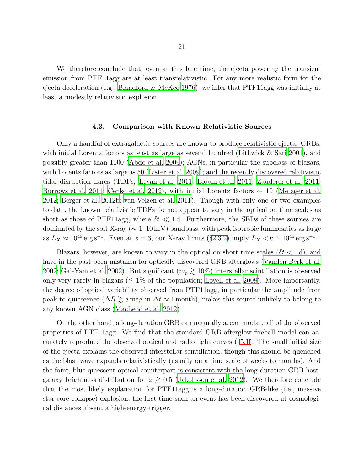We therefore conclude that, even at this late time, the ejecta powering the transient emission from PTF11agg are at least transrelativistic. For any more realistic form for the ejecta deceleration (e.g., [Blandford & McKee 1976\)](#page-35-16), we infer that PTF11agg was initially at least a modestly relativistic explosion.

## 4.3. Comparison with Known Relativistic Sources

<span id="page-20-0"></span>Only a handful of extragalactic sources are known to produce relativistic ejecta: GRBs, with initial Lorentz factors as least as large as several hundred [\(Lithwick & Sari 2001\)](#page-37-13), and possibly greater than 1000 [\(Abdo et al. 2009\)](#page-34-17); AGNs, in particular the subclass of blazars, with Lorentz factors as large as 50 [\(Lister et al. 2009\)](#page-37-14); and the recently discovered relativistic tidal disruption flares (TDFs; [Levan et al. 2011](#page-37-0); [Bloom et al. 2011;](#page-35-0) [Zauderer et al. 2011;](#page-41-0) [Burrows et al. 2011](#page-35-1); [Cenko et al. 2012](#page-35-2)), with initial Lorentz factors  $\sim 10$  [\(Metzger et al.](#page-38-16) [2012;](#page-38-16) [Berger et al. 2012b](#page-34-18); [van Velzen et al. 2011\)](#page-40-14). Though with only one or two examples to date, the known relativistic TDFs do not appear to vary in the optical on time scales as short as those of PTF11agg, where  $\delta t \ll 1$  d. Furthermore, the SEDs of these sources are dominated by the soft X-ray ( $\sim 1$ –10 keV) bandpass, with peak isotropic luminosities as large as  $L_X \approx 10^{48} \text{ erg s}^{-1}$ . Even at  $z = 3$ , our X-ray limits (§[2.3.2\)](#page-13-1) imply  $L_X < 6 \times 10^{45} \text{ erg s}^{-1}$ .

Blazars, however, are known to vary in the optical on short time scales ( $\delta t < 1 d$ ), and have in the past been mistaken for optically discovered GRB afterglows [\(Vanden Berk et al.](#page-40-15) [2002;](#page-40-15) [Gal-Yam et al. 2002](#page-36-13)). But significant  $(m_p \gtrsim 10\%)$  interstellar scintillation is observed only very rarely in blazars ( $\lesssim 1\%$  of the population; [Lovell et al. 2008\)](#page-37-15). More importantly, the degree of optical variability observed from PTF11agg, in particular the amplitude from peak to quiescence ( $\Delta R \gtrsim 8$  mag in  $\Delta t \approx 1$  month), makes this source unlikely to belong to any known AGN class [\(MacLeod et al. 2012\)](#page-38-17).

On the other hand, a long-duration GRB can naturally accommodate all of the observed properties of PTF11agg. We find that the standard GRB afterglow fireball model can accurately reproduce the observed optical and radio light curves  $(\S 5.1)$  $(\S 5.1)$ . The small initial size of the ejecta explains the observed interstellar scintillation, though this should be quenched as the blast wave expands relativistically (usually on a time scale of weeks to months). And the faint, blue quiescent optical counterpart is consistent with the long-duration GRB hostgalaxy brightness distribution for  $z \geq 0.5$  [\(Jakobsson et al. 2012](#page-37-12)). We therefore conclude that the most likely explanation for PTF11agg is a long-duration GRB-like (i.e., massive star core collapse) explosion, the first time such an event has been discovered at cosmological distances absent a high-energy trigger.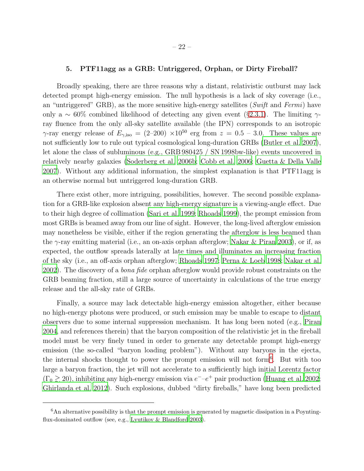## 5. PTF11agg as a GRB: Untriggered, Orphan, or Dirty Fireball?

Broadly speaking, there are three reasons why a distant, relativistic outburst may lack detected prompt high-energy emission. The null hypothesis is a lack of sky coverage (i.e., an "untriggered" GRB), as the more sensitive high-energy satellites (*Swift* and *Fermi*) have only a  $\sim 60\%$  combined likelihood of detecting any given event (§[2.3.1\)](#page-12-0). The limiting  $\gamma$ ray fluence from the only all-sky satellite available (the IPN) corresponds to an isotropic γ-ray energy release of  $E_{\gamma,\text{iso}} = (2-200) \times 10^{50}$  erg from  $z = 0.5 - 3.0$ . These values are not sufficiently low to rule out typical cosmological long-duration GRBs [\(Butler et al. 2007](#page-35-17)), let alone the class of subluminous (e.g., GRB 980425 / SN 1998bw-like) events uncovered in relatively nearby galaxies [\(Soderberg et al. 2006b;](#page-40-16) [Cobb et al. 2006](#page-36-14); [Guetta & Della Valle](#page-36-15) [2007\)](#page-36-15). Without any additional information, the simplest explanation is that PTF11agg is an otherwise normal but untriggered long-duration GRB.

There exist other, more intriguing, possibilities, however. The second possible explanation for a GRB-like explosion absent any high-energy signature is a viewing-angle effect. Due to their high degree of collimation [\(Sari et al. 1999;](#page-39-14) [Rhoads 1999\)](#page-39-15), the prompt emission from most GRBs is beamed away from our line of sight. However, the long-lived afterglow emission may nonetheless be visible, either if the region generating the afterglow is less beamed than the  $\gamma$ -ray emitting material (i.e., an on-axis orphan afterglow; [Nakar & Piran 2003\)](#page-38-18), or if, as expected, the outflow spreads laterally at late times and illuminates an increasing fraction of the sky (i.e., an off-axis orphan afterglow; [Rhoads 1997;](#page-39-0) [Perna &](#page-39-1) Loeb [1998;](#page-39-1) [Nakar et al.](#page-38-0) [2002\)](#page-38-0). The discovery of a *bona fide* orphan afterglow would provide robust constraints on the GRB beaming fraction, still a large source of uncertainty in calculations of the true energy release and the all-sky rate of GRBs.

Finally, a source may lack detectable high-energy emission altogether, either because no high-energy photons were produced, or such emission may be unable to escape to distant observers due to some internal suppression mechanism. It has long been noted (e.g., [Piran](#page-39-16) [2004,](#page-39-16) and references therein) that the baryon composition of the relativistic jet in the fireball model must be very finely tuned in order to generate any detectable prompt high-energy emission (the so-called "baryon loading problem"). Without any baryons in the ejecta, the internal shocks thought to power the prompt emission will not form[6](#page-21-0) . But with too large a baryon fraction, the jet will not accelerate to a sufficiently high initial Lorentz factor  $(\Gamma_0 \gtrsim 20)$ , inhibiting any high-energy emission via  $e^- - e^+$  pair production [\(Huang et al. 2002;](#page-37-1) [Ghirlanda et al. 2012\)](#page-36-16). Such explosions, dubbed "dirty fireballs," have long been predicted

<span id="page-21-0"></span><sup>6</sup>An alternative possibility is that the prompt emission is generated by magnetic dissipation in a Poynting-flux-dominated outflow (see, e.g., [Lyutikov & Blandford 2003\)](#page-37-16).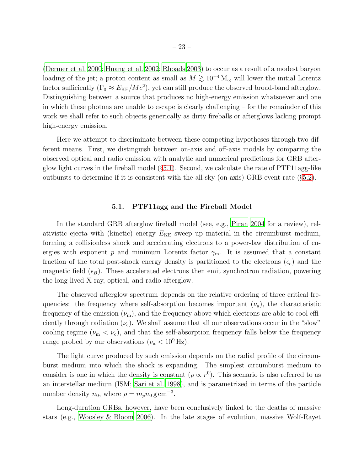[\(Dermer et al. 2000](#page-36-0); [Huang et al. 2002](#page-37-1); [Rhoads 2003\)](#page-39-2) to occur as a result of a modest baryon loading of the jet; a proton content as small as  $M \gtrsim 10^{-4} M_{\odot}$  will lower the initial Lorentz factor sufficiently  $(\Gamma_0 \approx E_{KE}/Mc^2)$ , yet can still produce the observed broad-band afterglow. Distinguishing between a source that produces no high-energy emission whatsoever and one in which these photons are unable to escape is clearly challenging – for the remainder of this work we shall refer to such objects generically as dirty fireballs or afterglows lacking prompt high-energy emission.

Here we attempt to discriminate between these competing hypotheses through two different means. First, we distinguish between on-axis and off-axis models by comparing the observed optical and radio emission with analytic and numerical predictions for GRB afterglow light curves in the fireball model (§[5.1\)](#page-22-0). Second, we calculate the rate of PTF11agg-like outbursts to determine if it is consistent with the all-sky (on-axis) GRB event rate (§[5.2\)](#page-26-0).

# 5.1. PTF11agg and the Fireball Model

<span id="page-22-0"></span>In the standard GRB afterglow fireball model (see, e.g., [Piran 2004](#page-39-16) for a review), relativistic ejecta with (kinetic) energy  $E_{KE}$  sweep up material in the circumburst medium, forming a collisionless shock and accelerating electrons to a power-law distribution of energies with exponent p and minimum Lorentz factor  $\gamma_{\rm m}$ . It is assumed that a constant fraction of the total post-shock energy density is partitioned to the electrons ( $\epsilon_e$ ) and the magnetic field  $(\epsilon_B)$ . These accelerated electrons then emit synchrotron radiation, powering the long-lived X-ray, optical, and radio afterglow.

The observed afterglow spectrum depends on the relative ordering of three critical frequencies: the frequency where self-absorption becomes important  $(\nu_a)$ , the characteristic frequency of the emission  $(\nu_m)$ , and the frequency above which electrons are able to cool efficiently through radiation  $(\nu_c)$ . We shall assume that all our observations occur in the "slow" cooling regime ( $\nu_{\rm m} < \nu_{\rm c}$ ), and that the self-absorption frequency falls below the frequency range probed by our observations ( $\nu_a < 10^9$  Hz).

The light curve produced by such emission depends on the radial profile of the circumburst medium into which the shock is expanding. The simplest circumburst medium to consider is one in which the density is constant  $(\rho \propto r^0)$ . This scenario is also referred to as an interstellar medium (ISM; [Sari et al. 1998](#page-39-17)), and is parametrized in terms of the particle number density  $n_0$ , where  $\rho = m_p n_0 \, \text{g cm}^{-3}$ .

Long-duration GRBs, however, have been conclusively linked to the deaths of massive stars (e.g., [Woosley & Bloom 2006\)](#page-41-2). In the late stages of evolution, massive Wolf-Rayet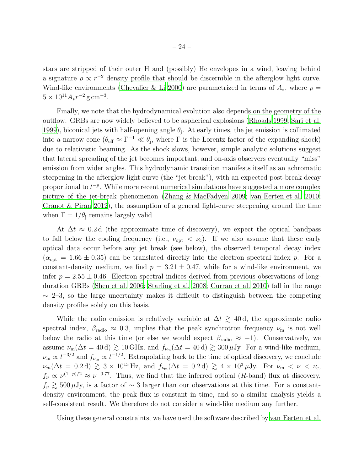stars are stripped of their outer H and (possibly) He envelopes in a wind, leaving behind a signature  $\rho \propto r^{-2}$  density profile that should be discernible in the afterglow light curve. Wind-like environments [\(Chevalier & Li 2000\)](#page-36-17) are parametrized in terms of  $A_*$ , where  $\rho =$  $5 \times 10^{11} A_* r^{-2} \,\mathrm{g\,cm^{-3}}.$ 

Finally, we note that the hydrodynamical evolution also depends on the geometry of the outflow. GRBs are now widely believed to be aspherical explosions [\(Rhoads 1999](#page-39-15); [Sari et al.](#page-39-14) [1999\)](#page-39-14), biconical jets with half-opening angle  $\theta_j$ . At early times, the jet emission is collimated into a narrow cone  $(\theta_{\text{eff}} \approx \Gamma^{-1} \ll \theta_j$ , where  $\Gamma$  is the Lorentz factor of the expanding shock) due to relativistic beaming. As the shock slows, however, simple analytic solutions suggest that lateral spreading of the jet becomes important, and on-axis observers eventually "miss" emission from wider angles. This hydrodynamic transition manifests itself as an achromatic steepening in the afterglow light curve (the "jet break"), with an expected post-break decay proportional to  $t^{-p}$ . While more recent numerical simulations have suggested a more complex picture of the jet-break phenomenon [\(Zhang & MacFadyen 2009;](#page-41-3) [van Eerten et al. 2010;](#page-40-17) [Granot & Piran 2012](#page-36-18)), the assumption of a general light-curve steepening around the time when  $\Gamma = 1/\theta_i$  remains largely valid.

At  $\Delta t \approx 0.2 d$  (the approximate time of discovery), we expect the optical bandpass to fall below the cooling frequency (i.e.,  $\nu_{opt} < \nu_c$ ). If we also assume that these early optical data occur before any jet break (see below), the observed temporal decay index  $(\alpha_{opt} = 1.66 \pm 0.35)$  can be translated directly into the electron spectral index p. For a constant-density medium, we find  $p = 3.21 \pm 0.47$ , while for a wind-like environment, we infer  $p = 2.55 \pm 0.46$ . Electron spectral indices derived from previous observations of longduration GRBs [\(Shen et al. 2006;](#page-40-18) [Starling et al. 2008](#page-40-19); [Curran et al. 2010\)](#page-36-19) fall in the range  $\sim$  2–3, so the large uncertainty makes it difficult to distinguish between the competing density profiles solely on this basis.

While the radio emission is relatively variable at  $\Delta t \gtrsim 40$  d, the approximate radio spectral index,  $\beta_{\text{radio}} \approx 0.3$ , implies that the peak synchrotron frequency  $\nu_{\text{m}}$  is not well below the radio at this time (or else we would expect  $\beta_{\text{radio}} \approx -1$ ). Conservatively, we assume  $\nu_{\rm m}(\Delta t = 40 \,\rm d) \gtrsim 10 \,\rm GHz$ , and  $f_{\nu_{\rm m}}(\Delta t = 40 \,\rm d) \gtrsim 300 \,\rm \mu Jy$ . For a wind-like medium,  $\nu_{\rm m} \propto t^{-3/2}$  and  $f_{\nu_{\rm m}} \propto t^{-1/2}$ . Extrapolating back to the time of optical discovery, we conclude  $\nu_m(\Delta t = 0.2 \text{ d}) \gtrsim 3 \times 10^{13} \text{ Hz}$ , and  $f_{\nu_m}(\Delta t = 0.2 \text{ d}) \gtrsim 4 \times 10^3 \mu \text{Jy}$ . For  $\nu_m < \nu < \nu_c$ ,  $f_{\nu} \propto \nu^{(1-p)/2} \approx \nu^{-0.77}$ . Thus, we find that the inferred optical (R-band) flux at discovery,  $f_{\nu} \gtrsim 500 \,\mu \text{Jy}$ , is a factor of ~ 3 larger than our observations at this time. For a constantdensity environment, the peak flux is constant in time, and so a similar analysis yields a self-consistent result. We therefore do not consider a wind-like medium any further.

Using these general constraints, we have used the software described by [van Eerten et al.](#page-40-20)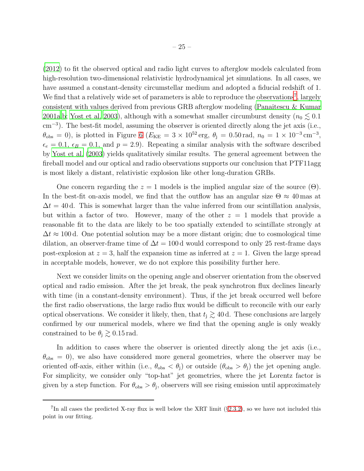[\(2012\)](#page-40-20) to fit the observed optical and radio light curves to afterglow models calculated from high-resolution two-dimensional relativistic hydrodynamical jet simulations. In all cases, we have assumed a constant-density circumstellar medium and adopted a fiducial redshift of 1. We find that a relatively wide set of parameters is able to reproduce the observations<sup>[7](#page-24-0)</sup>, largely consistent with values derived from previous GRB afterglow modeling [\(Panaitescu & Kumar](#page-38-19) [2001a](#page-38-19)[,b](#page-38-20); [Yost et al. 2003\)](#page-41-4), although with a somewhat smaller circumburst density ( $n_0 \lesssim 0.1$ ) cm<sup>-3</sup>). The best-fit model, assuming the observer is oriented directly along the jet axis (i.e.,  $\theta_{\rm obs} = 0$ ), is plotted in Figure [6](#page-25-0) ( $E_{\rm KE} = 3 \times 10^{52} \text{ erg}$ ,  $\theta_{\rm j} = 0.50 \text{ rad}$ ,  $n_0 = 1 \times 10^{-3} \text{ cm}^{-3}$ ,  $\epsilon_e = 0.1, \epsilon_B = 0.1$ , and  $p = 2.9$ ). Repeating a similar analysis with the software described by [Yost et al. \(2003](#page-41-4)) yields qualitatively similar results. The general agreement between the fireball model and our optical and radio observations supports our conclusion that PTF11agg is most likely a distant, relativistic explosion like other long-duration GRBs.

One concern regarding the  $z = 1$  models is the implied angular size of the source ( $\Theta$ ). In the best-fit on-axis model, we find that the outflow has an angular size  $\Theta \approx 40$  mas at  $\Delta t = 40$  d. This is somewhat larger than the value inferred from our scintillation analysis, but within a factor of two. However, many of the other  $z = 1$  models that provide a reasonable fit to the data are likely to be too spatially extended to scintillate strongly at  $\Delta t \approx 100$  d. One potential solution may be a more distant origin; due to cosmological time dilation, an observer-frame time of  $\Delta t = 100$  d would correspond to only 25 rest-frame days post-explosion at  $z = 3$ , half the expansion time as inferred at  $z = 1$ . Given the large spread in acceptable models, however, we do not explore this possibility further here.

Next we consider limits on the opening angle and observer orientation from the observed optical and radio emission. After the jet break, the peak synchrotron flux declines linearly with time (in a constant-density environment). Thus, if the jet break occurred well before the first radio observations, the large radio flux would be difficult to reconcile with our early optical observations. We consider it likely, then, that  $t_j \gtrsim 40$  d. These conclusions are largely confirmed by our numerical models, where we find that the opening angle is only weakly constrained to be  $\theta_i \gtrsim 0.15$  rad.

In addition to cases where the observer is oriented directly along the jet axis (i.e.,  $\theta_{\rm obs} = 0$ , we also have considered more general geometries, where the observer may be oriented off-axis, either within (i.e.,  $\theta_{obs} < \theta_j$ ) or outside  $(\theta_{obs} > \theta_j)$  the jet opening angle. For simplicity, we consider only "top-hat" jet geometries, where the jet Lorentz factor is given by a step function. For  $\theta_{obs} > \theta_j$ , observers will see rising emission until approximately

<span id="page-24-0"></span><sup>&</sup>lt;sup>7</sup>In all cases the predicted X-ray flux is well below the XRT limit ( $\S 2.3.2$ ), so we have not included this point in our fitting.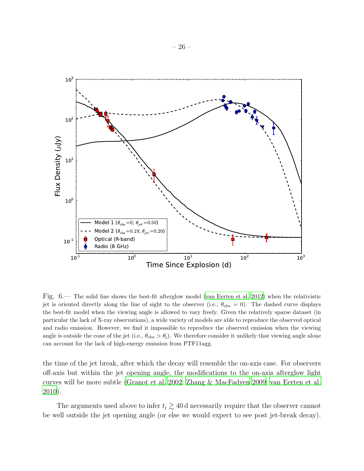

<span id="page-25-0"></span>Fig. 6.— The solid line shows the best-fit afterglow model [\(van Eerten et al. 2012\)](#page-40-20) when the relativistic jet is oriented directly along the line of sight to the observer (i.e.,  $\theta_{\rm obs} = 0$ ). The dashed curve displays the best-fit model when the viewing angle is allowed to vary freely. Given the relatively sparse dataset (in particular the lack of X-ray observations), a wide variety of models are able to reproduce the observed optical and radio emission. However, we find it impossible to reproduce the observed emission when the viewing angle is outside the cone of the jet (i.e.,  $\theta_{obs} > \theta_j$ ). We therefore consider it unlikely that viewing angle alone can account for the lack of high-energy emission from PTF11agg.

the time of the jet break, after which the decay will resemble the on-axis case. For observers off-axis but within the jet opening angle, the modifications to the on-axis afterglow light curves will be more subtle [\(Granot et al. 2002](#page-36-20); [Zhang & MacFadyen 2009;](#page-41-3) [van Eerten et al.](#page-40-17) [2010\)](#page-40-17).

The arguments used above to infer  $t_j \gtrsim 40$  d necessarily require that the observer cannot be well outside the jet opening angle (or else we would expect to see post jet-break decay).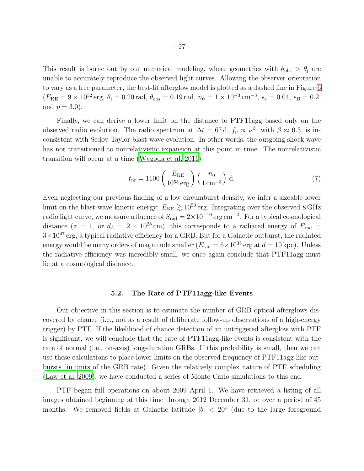This result is borne out by our numerical modeling, where geometries with  $\theta_{obs} > \theta_i$  are unable to accurately reproduce the observed light curves. Allowing the observer orientation to vary as a free parameter, the best-fit afterglow model is plotted as a dashed line in Figure [6](#page-25-0)  $(E_{KE} = 9 \times 10^{52} \text{ erg}, \theta_{j} = 0.20 \text{ rad}, \theta_{obs} = 0.19 \text{ rad}, n_{0} = 1 \times 10^{-3} \text{ cm}^{-3}, \epsilon_{e} = 0.04, \epsilon_{B} = 0.2,$ and  $p = 3.0$ ).

Finally, we can derive a lower limit on the distance to PTF11agg based only on the observed radio evolution. The radio spectrum at  $\Delta t = 67 d$ ,  $f_{\nu} \propto \nu^{\beta}$ , with  $\beta \approx 0.3$ , is inconsistent with Sedov-Taylor blast-wave evolution. In other words, the outgoing shock wave has not transitioned to nonrelativistic expansion at this point in time. The nonrelativistic transition will occur at a time [\(Wygoda et al. 2011](#page-41-5))

$$
t_{\rm nr} = 1100 \left( \frac{E_{\rm KE}}{10^{53} \,\rm erg} \right) \left( \frac{n_0}{1 \,\rm cm^{-3}} \right) \,\mathrm{d}.\tag{7}
$$

Even neglecting our previous finding of a low circumburst density, we infer a sizeable lower limit on the blast-wave kinetic energy:  $E_{KE} \gtrsim 10^{50}$  erg. Integrating over the observed 8 GHz radio light curve, we measure a fluence of  $S_{\text{rad}} = 2 \times 10^{-10} \text{ erg cm}^{-2}$ . For a typical cosmological distance (z = 1, or  $d_L = 2 \times 10^{28}$  cm), this corresponds to a radiated energy of  $E_{rad}$  =  $3\times10^{47}$  erg, a typical radiative efficiency for a GRB. But for a Galactic outburst, the radiated energy would be many orders of magnitude smaller  $(E_{\text{rad}} = 6 \times 10^{35} \text{ erg at } d = 10 \text{ kpc})$ . Unless the radiative efficiency was incredibly small, we once again conclude that PTF11agg must lie at a cosmological distance.

#### 5.2. The Rate of PTF11agg-like Events

<span id="page-26-0"></span>Our objective in this section is to estimate the number of GRB optical afterglows discovered by chance (i.e., not as a result of deliberate follow-up observations of a high-energy trigger) by PTF. If the likelihood of chance detection of an untriggered afterglow with PTF is significant, we will conclude that the rate of PTF11agg-like events is consistent with the rate of normal (i.e., on-axis) long-duration GRBs. If this probability is small, then we can use these calculations to place lower limits on the observed frequency of PTF11agg-like outbursts (in units of the GRB rate). Given the relatively complex nature of PTF scheduling [\(Law et al. 2009](#page-37-2)), we have conducted a series of Monte Carlo simulations to this end.

PTF began full operations on about 2009 April 1. We have retrieved a listing of all images obtained beginning at this time through 2012 December 31, or over a period of 45 months. We removed fields at Galactic latitude  $|b|$  < 20<sup>°</sup> (due to the large foreground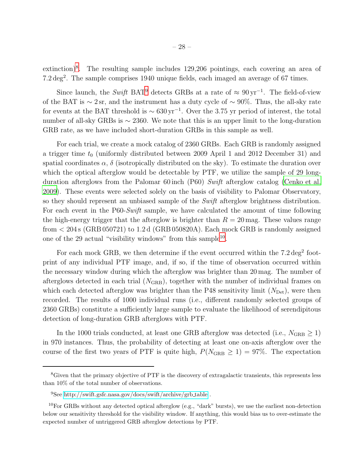extinction)<sup>[8](#page-27-0)</sup>. The resulting sample includes 129,206 pointings, each covering an area of  $7.2 \text{ deg}^2$ . The sample comprises 1940 unique fields, each imaged an average of 67 times.

Since launch, the *Swift* BAT<sup>[9](#page-27-1)</sup> detects GRBs at a rate of  $\approx 90 \,\text{yr}^{-1}$ . The field-of-view of the BAT is  $\sim$  2 sr, and the instrument has a duty cycle of  $\sim$  90%. Thus, the all-sky rate for events at the BAT threshold is  $\sim 630 \,\mathrm{yr}^{-1}$ . Over the 3.75 yr period of interest, the total number of all-sky GRBs is ∼ 2360. We note that this is an upper limit to the long-duration GRB rate, as we have included short-duration GRBs in this sample as well.

For each trial, we create a mock catalog of 2360 GRBs. Each GRB is randomly assigned a trigger time  $t_0$  (uniformly distributed between 2009 April 1 and 2012 December 31) and spatial coordinates  $\alpha$ ,  $\delta$  (isotropically distributed on the sky). To estimate the duration over which the optical afterglow would be detectable by PTF, we utilize the sample of 29 longduration afterglows from the Palomar 60 inch (P60) *Swift* afterglow catalog [\(Cenko et al.](#page-35-5) [2009\)](#page-35-5). These events were selected solely on the basis of visibility to Palomar Observatory, so they should represent an unbiased sample of the *Swift* afterglow brightness distribution. For each event in the P60-*Swift* sample, we have calculated the amount of time following the high-energy trigger that the afterglow is brighter than  $R = 20$  mag. These values range from  $< 204$  s (GRB 050721) to 1.2 d (GRB 050820A). Each mock GRB is randomly assigned one of the 29 actual "visibility windows" from this sample<sup>[10](#page-27-2)</sup>.

For each mock GRB, we then determine if the event occurred within the  $7.2 \text{ deg}^2$  footprint of any individual PTF image, and, if so, if the time of observation occurred within the necessary window during which the afterglow was brighter than 20 mag. The number of afterglows detected in each trial  $(N_{\text{GRB}})$ , together with the number of individual frames on which each detected afterglow was brighter than the P48 sensitivity limit  $(N_{\text{Det}})$ , were then recorded. The results of 1000 individual runs (i.e., different randomly selected groups of 2360 GRBs) constitute a sufficiently large sample to evaluate the likelihood of serendipitous detection of long-duration GRB afterglows with PTF.

In the 1000 trials conducted, at least one GRB afterglow was detected (i.e.,  $N_{\text{GRB}} \geq 1$ ) in 970 instances. Thus, the probability of detecting at least one on-axis afterglow over the course of the first two years of PTF is quite high,  $P(N_{\text{GRB}} \geq 1) = 97\%$ . The expectation

<span id="page-27-0"></span><sup>&</sup>lt;sup>8</sup>Given that the primary objective of PTF is the discovery of extragalactic transients, this represents less than 10% of the total number of observations.

<span id="page-27-1"></span><sup>9</sup>See [http://swift.gsfc.nasa.gov/docs/swift/archive/grb](http://swift.gsfc.nasa.gov/docs/swift/archive/grb_table) table .

<span id="page-27-2"></span> $10$ For GRBs without any detected optical afterglow (e.g., "dark" bursts), we use the earliest non-detection below our sensitivity threshold for the visibility window. If anything, this would bias us to over-estimate the expected number of untriggered GRB afterglow detections by PTF.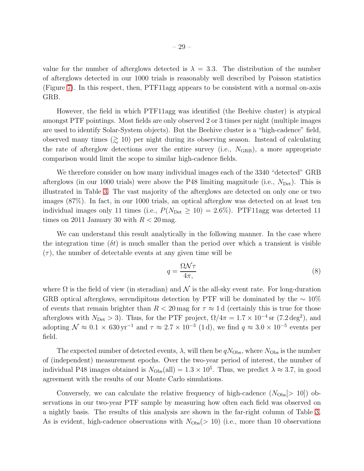value for the number of afterglows detected is  $\lambda = 3.3$ . The distribution of the number of afterglows detected in our 1000 trials is reasonably well described by Poisson statistics (Figure [7\)](#page-29-0). In this respect, then, PTF11agg appears to be consistent with a normal on-axis GRB.

However, the field in which PTF11agg was identified (the Beehive cluster) is atypical amongst PTF pointings. Most fields are only observed 2 or 3 times per night (multiple images are used to identify Solar-System objects). But the Beehive cluster is a "high-cadence" field, observed many times  $($  $\geq$  10) per night during its observing season. Instead of calculating the rate of afterglow detections over the entire survey (i.e.,  $N_{\rm GRB}$ ), a more appropriate comparison would limit the scope to similar high-cadence fields.

We therefore consider on how many individual images each of the 3340 "detected" GRB afterglows (in our 1000 trials) were above the P48 limiting magnitude (i.e.,  $N_{\text{Det}}$ ). This is illustrated in Table 3. The vast majority of the afterglows are detected on only one or two images (87%). In fact, in our 1000 trials, an optical afterglow was detected on at least ten individual images only 11 times (i.e.,  $P(N_{\text{Det}} \geq 10) = 2.6\%$ ). PTF11agg was detected 11 times on 2011 January 30 with  $R < 20$  mag.

We can understand this result analytically in the following manner. In the case where the integration time  $(\delta t)$  is much smaller than the period over which a transient is visible  $(\tau)$ , the number of detectable events at any given time will be

$$
q = \frac{\Omega \mathcal{N}\tau}{4\pi},\tag{8}
$$

where  $\Omega$  is the field of view (in steradian) and  $\mathcal N$  is the all-sky event rate. For long-duration GRB optical afterglows, serendipitous detection by PTF will be dominated by the  $\sim 10\%$ of events that remain brighter than  $R < 20$  mag for  $\tau \approx 1$  d (certainly this is true for those afterglows with  $N_{\text{Det}} > 3$ . Thus, for the PTF project,  $\Omega/4\pi = 1.7 \times 10^{-4} \text{ sr } (7.2 \text{ deg}^2)$ , and adopting  $\mathcal{N} \approx 0.1 \times 630 \,\text{yr}^{-1}$  and  $\tau \approx 2.7 \times 10^{-3}$  (1d), we find  $q \approx 3.0 \times 10^{-5}$  events per field.

The expected number of detected events,  $\lambda$ , will then be  $qN_{\text{Obs}}$ , where  $N_{\text{Obs}}$  is the number of (independent) measurement epochs. Over the two-year period of interest, the number of individual P48 images obtained is  $N_{\text{Obs}}(\text{all}) = 1.3 \times 10^5$ . Thus, we predict  $\lambda \approx 3.7$ , in good agreement with the results of our Monte Carlo simulations.

Conversely, we can calculate the relative frequency of high-cadence  $(N_{\text{Obs}}|>10|)$  observations in our two-year PTF sample by measuring how often each field was observed on a nightly basis. The results of this analysis are shown in the far-right column of Table 3. As is evident, high-cadence observations with  $N_{\text{Obs}}(>10)$  (i.e., more than 10 observations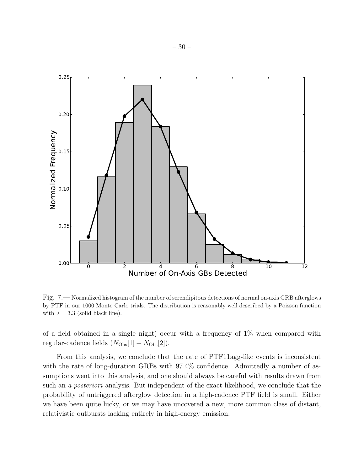

<span id="page-29-0"></span>Fig. 7.— Normalized histogram of the number of serendipitous detections of normal on-axis GRB afterglows by PTF in our 1000 Monte Carlo trials. The distribution is reasonably well described by a Poisson function with  $\lambda = 3.3$  (solid black line).

of a field obtained in a single night) occur with a frequency of 1% when compared with regular-cadence fields  $(N_{\text{Obs}}[1] + N_{\text{Obs}}[2])$ .

From this analysis, we conclude that the rate of PTF11agg-like events is inconsistent with the rate of long-duration GRBs with  $97.4\%$  confidence. Admittedly a number of assumptions went into this analysis, and one should always be careful with results drawn from such an *a posteriori* analysis. But independent of the exact likelihood, we conclude that the probability of untriggered afterglow detection in a high-cadence PTF field is small. Either we have been quite lucky, or we may have uncovered a new, more common class of distant, relativistic outbursts lacking entirely in high-energy emission.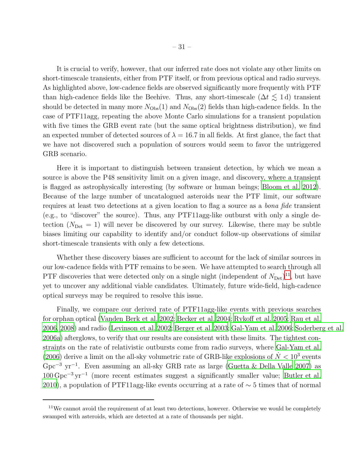It is crucial to verify, however, that our inferred rate does not violate any other limits on short-timescale transients, either from PTF itself, or from previous optical and radio surveys. As highlighted above, low-cadence fields are observed significantly more frequently with PTF than high-cadence fields like the Beehive. Thus, any short-timescale  $(\Delta t \leq 1 d)$  transient should be detected in many more  $N_{\text{Obs}}(1)$  and  $N_{\text{Obs}}(2)$  fields than high-cadence fields. In the case of PTF11agg, repeating the above Monte Carlo simulations for a transient population with five times the GRB event rate (but the same optical brightness distribution), we find an expected number of detected sources of  $\lambda = 16.7$  in all fields. At first glance, the fact that we have not discovered such a population of sources would seem to favor the untriggered GRB scenario.

Here it is important to distinguish between transient detection, by which we mean a source is above the P48 sensitivity limit on a given image, and discovery, where a transient is flagged as astrophysically interesting (by software or human beings; [Bloom et al. 2012](#page-35-4)). Because of the large number of uncatalogued asteroids near the PTF limit, our software requires at least two detections at a given location to flag a source as a *bona fide* transient (e.g., to "discover" the source). Thus, any PTF11agg-like outburst with only a single detection  $(N_{\text{Det}} = 1)$  will never be discovered by our survey. Likewise, there may be subtle biases limiting our capability to identify and/or conduct follow-up observations of similar short-timescale transients with only a few detections.

Whether these discovery biases are sufficient to account for the lack of similar sources in our low-cadence fields with PTF remains to be seen. We have attempted to search through all PTF discoveries that were detected only on a single night (independent of  $N_{\text{Det}}$ )<sup>[11](#page-41-6)</sup>, but have yet to uncover any additional viable candidates. Ultimately, future wide-field, high-cadence optical surveys may be required to resolve this issue.

Finally, we compare our derived rate of PTF11agg-like events with previous searches for orphan optical [\(Vanden Berk et al. 2002;](#page-40-15) [Becker et al. 2004;](#page-34-3) [Rykoff et al. 2005](#page-39-18); [Rau et al.](#page-39-19) [2006,](#page-39-19) [2008\)](#page-39-20) and radio [\(Levinson et al. 2002;](#page-37-17) [Berger et al. 2003](#page-34-19); [Gal-Yam et al. 2006;](#page-36-21) [Soderberg et al.](#page-40-21) [2006a](#page-40-21)) afterglows, to verify that our results are consistent with these limits. The tightest constraints on the rate of relativistic outbursts come from radio surveys, where [Gal-Yam et al.](#page-36-21) [\(2006\)](#page-36-21) derive a limit on the all-sky volumetric rate of GRB-like explosions of  $\dot{N} < 10^3$  events Gpc<sup>−</sup><sup>3</sup> yr<sup>−</sup><sup>1</sup> . Even assuming an all-sky GRB rate as large [\(Guetta & Della Valle 2007](#page-36-15)) as 100 Gpc<sup>−</sup><sup>3</sup> yr<sup>−</sup><sup>1</sup> (more recent estimates suggest a significantly smaller value; [Butler](#page-35-18) et al. [2010\)](#page-35-18), a population of PTF11agg-like events occurring at a rate of  $\sim$  5 times that of normal

 $11$ We cannot avoid the requirement of at least two detections, however. Otherwise we would be completely swamped with asteroids, which are detected at a rate of thousands per night.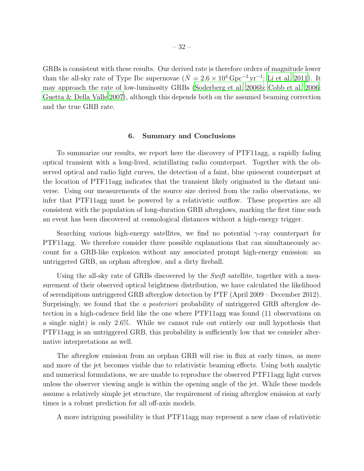GRBs is consistent with these results. Our derived rate is therefore orders of magnitude lower than the all-sky rate of Type Ibc supernovae ( $\dot{N} = 2.6 \times 10^4 \,\text{Gpc}^{-3} \,\text{yr}^{-1}$ ; [Li et al. 2011\)](#page-37-18). It may approach the rate of low-luminosity GRBs [\(Soderberg et al. 2006b;](#page-40-16) [Cobb et al. 2006;](#page-36-14) [Guetta & Della Valle 2007](#page-36-15)), although this depends both on the assumed beaming correction and the true GRB rate.

#### 6. Summary and Conclusions

To summarize our results, we report here the discovery of PTF11agg, a rapidly fading optical transient with a long-lived, scintillating radio counterpart. Together with the observed optical and radio light curves, the detection of a faint, blue quiescent counterpart at the location of PTF11agg indicates that the transient likely originated in the distant universe. Using our measurements of the source size derived from the radio observations, we infer that PTF11agg must be powered by a relativistic outflow. These properties are all consistent with the population of long-duration GRB afterglows, marking the first time such an event has been discovered at cosmological distances without a high-energy trigger.

Searching various high-energy satellites, we find no potential  $\gamma$ -ray counterpart for PTF11agg. We therefore consider three possible explanations that can simultaneously account for a GRB-like explosion without any associated prompt high-energy emission: an untriggered GRB, an orphan afterglow, and a dirty fireball.

Using the all-sky rate of GRBs discovered by the *Swift* satellite, together with a measurement of their observed optical brightness distribution, we have calculated the likelihood of serendipitous untriggered GRB afterglow detection by PTF (April 2009 – December 2012). Surprisingly, we found that the *a posteriori* probability of untriggered GRB afterglow detection in a high-cadence field like the one where PTF11agg was found (11 observations on a single night) is only 2.6%. While we cannot rule out entirely our null hypothesis that PTF11agg is an untriggered GRB, this probability is sufficiently low that we consider alternative interpretations as well.

The afterglow emission from an orphan GRB will rise in flux at early times, as more and more of the jet becomes visible due to relativistic beaming effects. Using both analytic and numerical formulations, we are unable to reproduce the observed PTF11agg light curves unless the observer viewing angle is within the opening angle of the jet. While these models assume a relatively simple jet structure, the requirement of rising afterglow emission at early times is a robust prediction for all off-axis models.

A more intriguing possibility is that PTF11agg may represent a new class of relativistic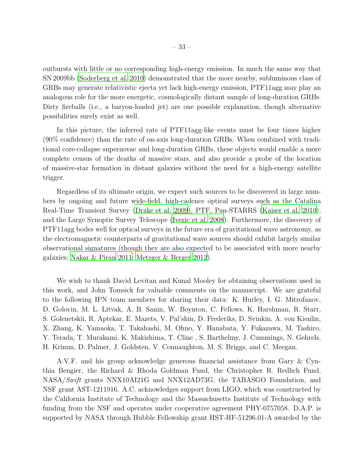outbursts with little or no corresponding high-energy emission. In much the same way that SN 2009bb [\(Soderberg et al. 2010\)](#page-40-0) demonstrated that the more nearby, subluminous class of GRBs may generate relativistic ejecta yet lack high-energy emission, PTF11agg may play an analogous role for the more energetic, cosmologically distant sample of long-duration GRBs. Dirty fireballs (i.e., a baryon-loaded jet) are one possible explanation, though alternative possibilities surely exist as well.

In this picture, the inferred rate of PTF11agg-like events must be four times higher (90% confidence) than the rate of on-axis long-duration GRBs. When combined with traditional core-collapse supernovae and long-duration GRBs, these objects would enable a more complete census of the deaths of massive stars, and also provide a probe of the location of massive-star formation in distant galaxies without the need for a high-energy satellite trigger.

Regardless of its ultimate origin, we expect such sources to be discovered in large numbers by ongoing and future wide-field, high-cadence optical surveys such as the Catalina Real-Time Transient Survey [\(Drake et al. 2009](#page-36-22)), PTF, Pan-STARRS [\(Kaiser et al. 2010](#page-37-19)), and the Large Synoptic Survey Telescope [\(Ivezic et al. 2008](#page-37-20)). Furthermore, the discovery of PTF11agg bodes well for optical surveys in the future era of gravitational wave astronomy, as the electromagnetic counterparts of gravitational wave sources should exhibit largely similar observational signatures (though they are also expected to be associated with more nearby galaxies; [Nakar & Piran 2011](#page-38-21); [Metzger & Berger 2012\)](#page-38-22).

We wish to thank David Levitan and Kunal Mooley for obtaining observations used in this work, and John Tomsick for valuable comments on the manuscript. We are grateful to the following IPN team members for sharing their data: K. Hurley, I. G. Mitrofanov, D. Golovin, M. L. Litvak, A. B. Sanin, W. Boynton, C. Fellows, K. Harshman, R. Starr, S. Golenetskii, R. Aptekar, E. Mazets, V. Pal'shin, D. Frederiks, D. Svinkin, A. von Kienlin, X. Zhang, K. Yamaoka, T. Takahashi, M. Ohno, Y. Hanabata, Y. Fukazawa, M. Tashiro, Y. Terada, T. Murakami, K. Makishima, T. Cline , S. Barthelmy, J. Cummings, N. Gehrels, H. Krimm, D. Palmer, J. Goldsten, V. Connaughton, M. S. Briggs, and C. Meegan.

A.V.F. and his group acknowledge generous financial assistance from Gary & Cynthia Bengier, the Richard & Rhoda Goldman Fund, the Christopher R. Redlich Fund, NASA/*Swift* grants NNX10AI21G and NNX12AD73G, the TABASGO Foundation, and NSF grant AST-1211916. A.C. acknowledges support from LIGO, which was constructed by the California Institute of Technology and the Massachusetts Institute of Technology with funding from the NSF and operates under cooperative agreement PHY-0757058. D.A.P. is supported by NASA through Hubble Fellowship grant HST-HF-51296.01-A awarded by the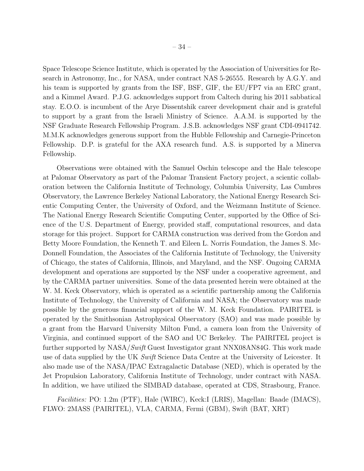Space Telescope Science Institute, which is operated by the Association of Universities for Research in Astronomy, Inc., for NASA, under contract NAS 5-26555. Research by A.G.Y. and his team is supported by grants from the ISF, BSF, GIF, the EU/FP7 via an ERC grant, and a Kimmel Award. P.J.G. acknowledges support from Caltech during his 2011 sabbatical stay. E.O.O. is incumbent of the Arye Dissentshik career development chair and is grateful to support by a grant from the Israeli Ministry of Science. A.A.M. is supported by the NSF Graduate Research Fellowship Program. J.S.B. acknowledges NSF grant CDI-0941742. M.M.K acknowledges generous support from the Hubble Fellowship and Carnegie-Princeton Fellowship. D.P. is grateful for the AXA research fund. A.S. is supported by a Minerva Fellowship.

Observations were obtained with the Samuel Oschin telescope and the Hale telescope at Palomar Observatory as part of the Palomar Transient Factory project, a scientic collaboration between the California Institute of Technology, Columbia University, Las Cumbres Observatory, the Lawrence Berkeley National Laboratory, the National Energy Research Scientic Computing Center, the University of Oxford, and the Weizmann Institute of Science. The National Energy Research Scientific Computing Center, supported by the Office of Science of the U.S. Department of Energy, provided staff, computational resources, and data storage for this project. Support for CARMA construction was derived from the Gordon and Betty Moore Foundation, the Kenneth T. and Eileen L. Norris Foundation, the James S. Mc-Donnell Foundation, the Associates of the California Institute of Technology, the University of Chicago, the states of California, Illinois, and Maryland, and the NSF. Ongoing CARMA development and operations are supported by the NSF under a cooperative agreement, and by the CARMA partner universities. Some of the data presented herein were obtained at the W. M. Keck Observatory, which is operated as a scientific partnership among the California Institute of Technology, the University of California and NASA; the Observatory was made possible by the generous financial support of the W. M. Keck Foundation. PAIRITEL is operated by the Smithsonian Astrophysical Observatory (SAO) and was made possible by a grant from the Harvard University Milton Fund, a camera loan from the University of Virginia, and continued support of the SAO and UC Berkeley. The PAIRITEL project is further supported by NASA/*Swift* Guest Investigator grant NNX08AN84G. This work made use of data supplied by the UK *Swift* Science Data Centre at the University of Leicester. It also made use of the NASA/IPAC Extragalactic Database (NED), which is operated by the Jet Propulsion Laboratory, California Institute of Technology, under contract with NASA. In addition, we have utilized the SIMBAD database, operated at CDS, Strasbourg, France.

*Facilities:* PO: 1.2m (PTF), Hale (WIRC), Keck:I (LRIS), Magellan: Baade (IMACS), FLWO: 2MASS (PAIRITEL), VLA, CARMA, Fermi (GBM), Swift (BAT, XRT)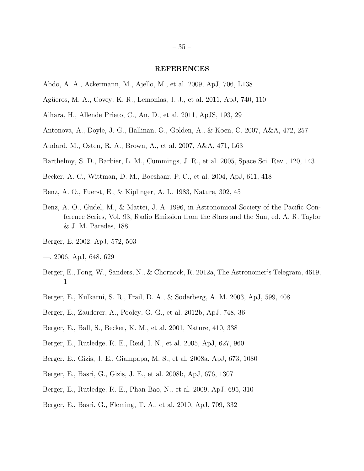## REFERENCES

- <span id="page-34-17"></span>Abdo, A. A., Ackermann, M., Ajello, M., et al. 2009, ApJ, 706, L138
- <span id="page-34-0"></span>Agüeros, M. A., Covey, K. R., Lemonias, J. J., et al. 2011, ApJ, 740, 110
- <span id="page-34-1"></span>Aihara, H., Allende Prieto, C., An, D., et al. 2011, ApJS, 193, 29
- <span id="page-34-7"></span>Antonova, A., Doyle, J. G., Hallinan, G., Golden, A., & Koen, C. 2007, A&A, 472, 257
- <span id="page-34-8"></span>Audard, M., Osten, R. A., Brown, A., et al. 2007, A&A, 471, L63
- <span id="page-34-2"></span>Barthelmy, S. D., Barbier, L. M., Cummings, J. R., et al. 2005, Space Sci. Rev., 120, 143
- <span id="page-34-3"></span>Becker, A. C., Wittman, D. M., Boeshaar, P. C., et al. 2004, ApJ, 611, 418
- <span id="page-34-16"></span>Benz, A. O., Fuerst, E., & Kiplinger, A. L. 1983, Nature, 302, 45
- <span id="page-34-15"></span>Benz, A. O., Gudel, M., & Mattei, J. A. 1996, in Astronomical Society of the Pacific Conference Series, Vol. 93, Radio Emission from the Stars and the Sun, ed. A. R. Taylor & J. M. Paredes, 188
- <span id="page-34-9"></span>Berger, E. 2002, ApJ, 572, 503
- <span id="page-34-5"></span>—. 2006, ApJ, 648, 629
- <span id="page-34-4"></span>Berger, E., Fong, W., Sanders, N., & Chornock, R. 2012a, The Astronomer's Telegram, 4619, 1
- <span id="page-34-19"></span>Berger, E., Kulkarni, S. R., Frail, D. A., & Soderberg, A. M. 2003, ApJ, 599, 408
- <span id="page-34-18"></span>Berger, E., Zauderer, A., Pooley, G. G., et al. 2012b, ApJ, 748, 36
- <span id="page-34-10"></span>Berger, E., Ball, S., Becker, K. M., et al. 2001, Nature, 410, 338
- <span id="page-34-14"></span>Berger, E., Rutledge, R. E., Reid, I. N., et al. 2005, ApJ, 627, 960
- <span id="page-34-13"></span>Berger, E., Gizis, J. E., Giampapa, M. S., et al. 2008a, ApJ, 673, 1080
- <span id="page-34-12"></span>Berger, E., Basri, G., Gizis, J. E., et al. 2008b, ApJ, 676, 1307
- <span id="page-34-11"></span>Berger, E., Rutledge, R. E., Phan-Bao, N., et al. 2009, ApJ, 695, 310
- <span id="page-34-6"></span>Berger, E., Basri, G., Fleming, T. A., et al. 2010, ApJ, 709, 332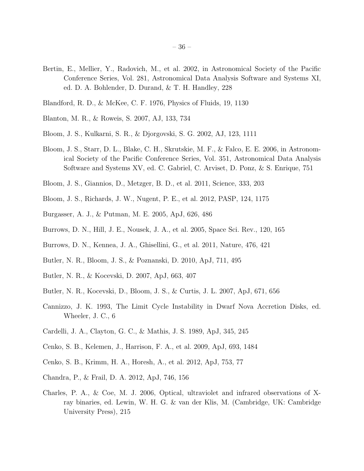- <span id="page-35-7"></span>Bertin, E., Mellier, Y., Radovich, M., et al. 2002, in Astronomical Society of the Pacific Conference Series, Vol. 281, Astronomical Data Analysis Software and Systems XI, ed. D. A. Bohlender, D. Durand, & T. H. Handley, 228
- <span id="page-35-16"></span>Blandford, R. D., & McKee, C. F. 1976, Physics of Fluids, 19, 1130
- <span id="page-35-8"></span>Blanton, M. R., & Roweis, S. 2007, AJ, 133, 734
- <span id="page-35-9"></span>Bloom, J. S., Kulkarni, S. R., & Djorgovski, S. G. 2002, AJ, 123, 1111
- <span id="page-35-6"></span>Bloom, J. S., Starr, D. L., Blake, C. H., Skrutskie, M. F., & Falco, E. E. 2006, in Astronomical Society of the Pacific Conference Series, Vol. 351, Astronomical Data Analysis Software and Systems XV, ed. C. Gabriel, C. Arviset, D. Ponz, & S. Enrique, 751
- <span id="page-35-0"></span>Bloom, J. S., Giannios, D., Metzger, B. D., et al. 2011, Science, 333, 203
- <span id="page-35-4"></span>Bloom, J. S., Richards, J. W., Nugent, P. E., et al. 2012, PASP, 124, 1175
- <span id="page-35-13"></span>Burgasser, A. J., & Putman, M. E. 2005, ApJ, 626, 486
- <span id="page-35-11"></span>Burrows, D. N., Hill, J. E., Nousek, J. A., et al. 2005, Space Sci. Rev., 120, 165
- <span id="page-35-1"></span>Burrows, D. N., Kennea, J. A., Ghisellini, G., et al. 2011, Nature, 476, 421
- <span id="page-35-18"></span>Butler, N. R., Bloom, J. S., & Poznanski, D. 2010, ApJ, 711, 495
- <span id="page-35-12"></span>Butler, N. R., & Kocevski, D. 2007, ApJ, 663, 407
- <span id="page-35-17"></span>Butler, N. R., Kocevski, D., Bloom, J. S., & Curtis, J. L. 2007, ApJ, 671, 656
- <span id="page-35-15"></span>Cannizzo, J. K. 1993, The Limit Cycle Instability in Dwarf Nova Accretion Disks, ed. Wheeler, J. C., 6
- <span id="page-35-3"></span>Cardelli, J. A., Clayton, G. C., & Mathis, J. S. 1989, ApJ, 345, 245
- <span id="page-35-5"></span>Cenko, S. B., Kelemen, J., Harrison, F. A., et al. 2009, ApJ, 693, 1484
- <span id="page-35-2"></span>Cenko, S. B., Krimm, H. A., Horesh, A., et al. 2012, ApJ, 753, 77
- <span id="page-35-10"></span>Chandra, P., & Frail, D. A. 2012, ApJ, 746, 156
- <span id="page-35-14"></span>Charles, P. A., & Coe, M. J. 2006, Optical, ultraviolet and infrared observations of Xray binaries, ed. Lewin, W. H. G. & van der Klis, M. (Cambridge, UK: Cambridge University Press), 215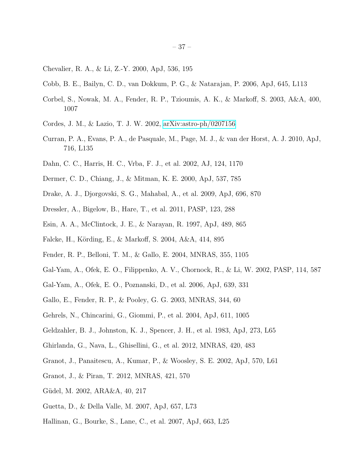- <span id="page-36-17"></span>Chevalier, R. A., & Li, Z.-Y. 2000, ApJ, 536, 195
- <span id="page-36-14"></span>Cobb, B. E., Bailyn, C. D., van Dokkum, P. G., & Natarajan, P. 2006, ApJ, 645, L113
- <span id="page-36-11"></span>Corbel, S., Nowak, M. A., Fender, R. P., Tzioumis, A. K., & Markoff, S. 2003, A&A, 400, 1007
- <span id="page-36-2"></span>Cordes, J. M., & Lazio, T. J. W. 2002, [arXiv:astro-ph/0207156](http://arxiv.org/abs/astro-ph/0207156)
- <span id="page-36-19"></span>Curran, P. A., Evans, P. A., de Pasquale, M., Page, M. J., & van der Horst, A. J. 2010, ApJ, 716, L135
- <span id="page-36-5"></span>Dahn, C. C., Harris, H. C., Vrba, F. J., et al. 2002, AJ, 124, 1170
- <span id="page-36-0"></span>Dermer, C. D., Chiang, J., & Mitman, K. E. 2000, ApJ, 537, 785
- <span id="page-36-22"></span>Drake, A. J., Djorgovski, S. G., Mahabal, A., et al. 2009, ApJ, 696, 870
- <span id="page-36-1"></span>Dressler, A., Bigelow, B., Hare, T., et al. 2011, PASP, 123, 288
- <span id="page-36-10"></span>Esin, A. A., McClintock, J. E., & Narayan, R. 1997, ApJ, 489, 865
- <span id="page-36-9"></span>Falcke, H., Körding, E., & Markoff, S. 2004, A&A, 414, 895
- <span id="page-36-8"></span>Fender, R. P., Belloni, T. M., & Gallo, E. 2004, MNRAS, 355, 1105
- <span id="page-36-13"></span>Gal-Yam, A., Ofek, E. O., Filippenko, A. V., Chornock, R., & Li, W. 2002, PASP, 114, 587
- <span id="page-36-21"></span>Gal-Yam, A., Ofek, E. O., Poznanski, D., et al. 2006, ApJ, 639, 331
- <span id="page-36-12"></span>Gallo, E., Fender, R. P., & Pooley, G. G. 2003, MNRAS, 344, 60
- <span id="page-36-3"></span>Gehrels, N., Chincarini, G., Giommi, P., et al. 2004, ApJ, 611, 1005
- <span id="page-36-7"></span>Geldzahler, B. J., Johnston, K. J., Spencer, J. H., et al. 1983, ApJ, 273, L65
- <span id="page-36-16"></span>Ghirlanda, G., Nava, L., Ghisellini, G., et al. 2012, MNRAS, 420, 483
- <span id="page-36-20"></span>Granot, J., Panaitescu, A., Kumar, P., & Woosley, S. E. 2002, ApJ, 570, L61
- <span id="page-36-18"></span>Granot, J., & Piran, T. 2012, MNRAS, 421, 570
- <span id="page-36-4"></span>Güdel, M. 2002, ARA&A, 40, 217
- <span id="page-36-15"></span>Guetta, D., & Della Valle, M. 2007, ApJ, 657, L73
- <span id="page-36-6"></span>Hallinan, G., Bourke, S., Lane, C., et al. 2007, ApJ, 663, L25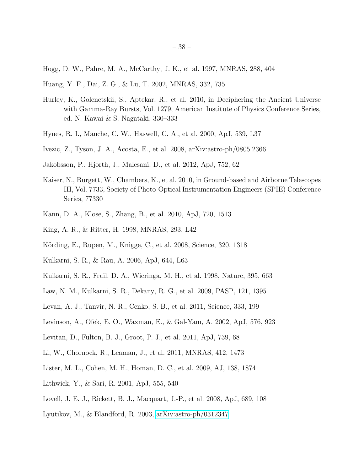- <span id="page-37-4"></span>Hogg, D. W., Pahre, M. A., McCarthy, J. K., et al. 1997, MNRAS, 288, 404
- <span id="page-37-1"></span>Huang, Y. F., Dai, Z. G., & Lu, T. 2002, MNRAS, 332, 735
- <span id="page-37-6"></span>Hurley, K., Golenetskii, S., Aptekar, R., et al. 2010, in Deciphering the Ancient Universe with Gamma-Ray Bursts, Vol. 1279, American Institute of Physics Conference Series, ed. N. Kawai & S. Nagataki, 330–333
- <span id="page-37-9"></span>Hynes, R. I., Mauche, C. W., Haswell, C. A., et al. 2000, ApJ, 539, L37
- <span id="page-37-20"></span>Ivezic, Z., Tyson, J. A., Acosta, E., et al. 2008, arXiv:astro-ph/0805.2366
- <span id="page-37-12"></span>Jakobsson, P., Hjorth, J., Malesani, D., et al. 2012, ApJ, 752, 62
- <span id="page-37-19"></span>Kaiser, N., Burgett, W., Chambers, K., et al. 2010, in Ground-based and Airborne Telescopes III, Vol. 7733, Society of Photo-Optical Instrumentation Engineers (SPIE) Conference Series, 77330
- <span id="page-37-3"></span>Kann, D. A., Klose, S., Zhang, B., et al. 2010, ApJ, 720, 1513
- <span id="page-37-8"></span>King, A. R., & Ritter, H. 1998, MNRAS, 293, L42
- <span id="page-37-11"></span>Körding, E., Rupen, M., Knigge, C., et al. 2008, Science, 320, 1318
- <span id="page-37-7"></span>Kulkarni, S. R., & Rau, A. 2006, ApJ, 644, L63
- <span id="page-37-5"></span>Kulkarni, S. R., Frail, D. A., Wieringa, M. H., et al. 1998, Nature, 395, 663
- <span id="page-37-2"></span>Law, N. M., Kulkarni, S. R., Dekany, R. G., et al. 2009, PASP, 121, 1395
- <span id="page-37-0"></span>Levan, A. J., Tanvir, N. R., Cenko, S. B., et al. 2011, Science, 333, 199
- <span id="page-37-17"></span>Levinson, A., Ofek, E. O., Waxman, E., & Gal-Yam, A. 2002, ApJ, 576, 923
- <span id="page-37-10"></span>Levitan, D., Fulton, B. J., Groot, P. J., et al. 2011, ApJ, 739, 68
- <span id="page-37-18"></span>Li, W., Chornock, R., Leaman, J., et al. 2011, MNRAS, 412, 1473
- <span id="page-37-14"></span>Lister, M. L., Cohen, M. H., Homan, D. C., et al. 2009, AJ, 138, 1874
- <span id="page-37-13"></span>Lithwick, Y., & Sari, R. 2001, ApJ, 555, 540
- <span id="page-37-15"></span>Lovell, J. E. J., Rickett, B. J., Macquart, J.-P., et al. 2008, ApJ, 689, 108
- <span id="page-37-16"></span>Lyutikov, M., & Blandford, R. 2003, [arXiv:astro-ph/0312347](http://arxiv.org/abs/astro-ph/0312347)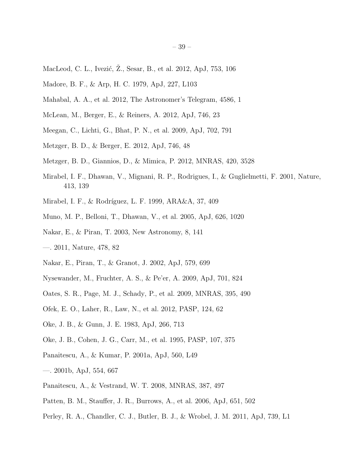- <span id="page-38-17"></span>MacLeod, C. L., Ivezić, Z., Sesar, B., et al. 2012, ApJ, 753, 106
- <span id="page-38-9"></span>Madore, B. F., & Arp, H. C. 1979, ApJ, 227, L103
- <span id="page-38-10"></span>Mahabal, A. A., et al. 2012, The Astronomer's Telegram, 4586, 1
- <span id="page-38-13"></span>McLean, M., Berger, E., & Reiners, A. 2012, ApJ, 746, 23
- <span id="page-38-7"></span>Meegan, C., Lichti, G., Bhat, P. N., et al. 2009, ApJ, 702, 791
- <span id="page-38-22"></span>Metzger, B. D., & Berger, E. 2012, ApJ, 746, 48
- <span id="page-38-16"></span>Metzger, B. D., Giannios, D., & Mimica, P. 2012, MNRAS, 420, 3528
- <span id="page-38-15"></span>Mirabel, I. F., Dhawan, V., Mignani, R. P., Rodrigues, I., & Guglielmetti, F. 2001, Nature, 413, 139
- <span id="page-38-12"></span>Mirabel, I. F., & Rodríguez, L. F. 1999, ARA&A, 37, 409
- <span id="page-38-14"></span>Muno, M. P., Belloni, T., Dhawan, V., et al. 2005, ApJ, 626, 1020
- <span id="page-38-18"></span>Nakar, E., & Piran, T. 2003, New Astronomy, 8, 141
- <span id="page-38-21"></span>—. 2011, Nature, 478, 82
- <span id="page-38-0"></span>Nakar, E., Piran, T., & Granot, J. 2002, ApJ, 579, 699
- <span id="page-38-8"></span>Nysewander, M., Fruchter, A. S., & Pe'er, A. 2009, ApJ, 701, 824
- <span id="page-38-5"></span>Oates, S. R., Page, M. J., Schady, P., et al. 2009, MNRAS, 395, 490
- <span id="page-38-2"></span>Ofek, E. O., Laher, R., Law, N., et al. 2012, PASP, 124, 62
- <span id="page-38-1"></span>Oke, J. B., & Gunn, J. E. 1983, ApJ, 266, 713
- <span id="page-38-3"></span>Oke, J. B., Cohen, J. G., Carr, M., et al. 1995, PASP, 107, 375
- <span id="page-38-19"></span>Panaitescu, A., & Kumar, P. 2001a, ApJ, 560, L49
- <span id="page-38-20"></span>—. 2001b, ApJ, 554, 667
- <span id="page-38-4"></span>Panaitescu, A., & Vestrand, W. T. 2008, MNRAS, 387, 497
- <span id="page-38-11"></span>Patten, B. M., Stauffer, J. R., Burrows, A., et al. 2006, ApJ, 651, 502
- <span id="page-38-6"></span>Perley, R. A., Chandler, C. J., Butler, B. J., & Wrobel, J. M. 2011, ApJ, 739, L1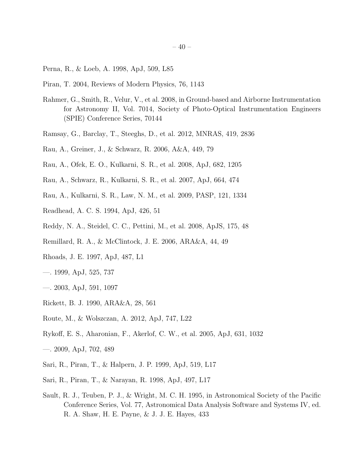- <span id="page-39-1"></span>Perna, R., & Loeb, A. 1998, ApJ, 509, L85
- <span id="page-39-16"></span>Piran, T. 2004, Reviews of Modern Physics, 76, 1143
- <span id="page-39-3"></span>Rahmer, G., Smith, R., Velur, V., et al. 2008, in Ground-based and Airborne Instrumentation for Astronomy II, Vol. 7014, Society of Photo-Optical Instrumentation Engineers (SPIE) Conference Series, 70144
- <span id="page-39-11"></span>Ramsay, G., Barclay, T., Steeghs, D., et al. 2012, MNRAS, 419, 2836
- <span id="page-39-19"></span>Rau, A., Greiner, J., & Schwarz, R. 2006, A&A, 449, 79
- <span id="page-39-20"></span>Rau, A., Ofek, E. O., Kulkarni, S. R., et al. 2008, ApJ, 682, 1205
- <span id="page-39-12"></span>Rau, A., Schwarz, R., Kulkarni, S. R., et al. 2007, ApJ, 664, 474
- <span id="page-39-4"></span>Rau, A., Kulkarni, S. R., Law, N. M., et al. 2009, PASP, 121, 1334
- <span id="page-39-7"></span>Readhead, A. C. S. 1994, ApJ, 426, 51
- <span id="page-39-13"></span>Reddy, N. A., Steidel, C. C., Pettini, M., et al. 2008, ApJS, 175, 48
- <span id="page-39-10"></span>Remillard, R. A., & McClintock, J. E. 2006, ARA&A, 44, 49
- <span id="page-39-0"></span>Rhoads, J. E. 1997, ApJ, 487, L1
- <span id="page-39-15"></span>—. 1999, ApJ, 525, 737
- <span id="page-39-2"></span>—. 2003, ApJ, 591, 1097
- <span id="page-39-8"></span>Rickett, B. J. 1990, ARA&A, 28, 561
- <span id="page-39-9"></span>Route, M., & Wolszczan, A. 2012, ApJ, 747, L22
- <span id="page-39-18"></span>Rykoff, E. S., Aharonian, F., Akerlof, C. W., et al. 2005, ApJ, 631, 1032
- <span id="page-39-5"></span>—. 2009, ApJ, 702, 489
- <span id="page-39-14"></span>Sari, R., Piran, T., & Halpern, J. P. 1999, ApJ, 519, L17
- <span id="page-39-17"></span>Sari, R., Piran, T., & Narayan, R. 1998, ApJ, 497, L17
- <span id="page-39-6"></span>Sault, R. J., Teuben, P. J., & Wright, M. C. H. 1995, in Astronomical Society of the Pacific Conference Series, Vol. 77, Astronomical Data Analysis Software and Systems IV, ed. R. A. Shaw, H. E. Payne, & J. J. E. Hayes, 433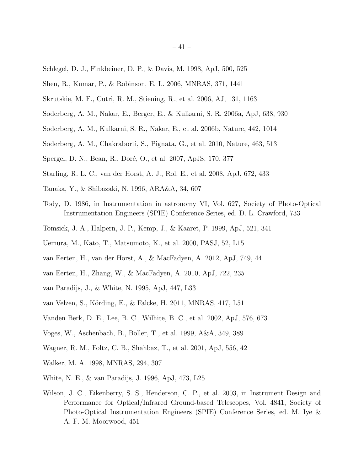- <span id="page-40-2"></span>Schlegel, D. J., Finkbeiner, D. P., & Davis, M. 1998, ApJ, 500, 525
- <span id="page-40-18"></span>Shen, R., Kumar, P., & Robinson, E. L. 2006, MNRAS, 371, 1441
- <span id="page-40-5"></span>Skrutskie, M. F., Cutri, R. M., Stiening, R., et al. 2006, AJ, 131, 1163
- <span id="page-40-21"></span>Soderberg, A. M., Nakar, E., Berger, E., & Kulkarni, S. R. 2006a, ApJ, 638, 930
- <span id="page-40-16"></span>Soderberg, A. M., Kulkarni, S. R., Nakar, E., et al. 2006b, Nature, 442, 1014
- <span id="page-40-0"></span>Soderberg, A. M., Chakraborti, S., Pignata, G., et al. 2010, Nature, 463, 513
- <span id="page-40-1"></span>Spergel, D. N., Bean, R., Doré, O., et al. 2007, ApJS, 170, 377
- <span id="page-40-19"></span>Starling, R. L. C., van der Horst, A. J., Rol, E., et al. 2008, ApJ, 672, 433
- <span id="page-40-8"></span>Tanaka, Y., & Shibazaki, N. 1996, ARA&A, 34, 607
- <span id="page-40-4"></span>Tody, D. 1986, in Instrumentation in astronomy VI, Vol. 627, Society of Photo-Optical Instrumentation Engineers (SPIE) Conference Series, ed. D. L. Crawford, 733
- <span id="page-40-11"></span>Tomsick, J. A., Halpern, J. P., Kemp, J., & Kaaret, P. 1999, ApJ, 521, 341
- <span id="page-40-12"></span>Uemura, M., Kato, T., Matsumoto, K., et al. 2000, PASJ, 52, L15
- <span id="page-40-20"></span>van Eerten, H., van der Horst, A., & MacFadyen, A. 2012, ApJ, 749, 44
- <span id="page-40-17"></span>van Eerten, H., Zhang, W., & MacFadyen, A. 2010, ApJ, 722, 235
- <span id="page-40-9"></span>van Paradijs, J., & White, N. 1995, ApJ, 447, L33
- <span id="page-40-14"></span>van Velzen, S., Körding, E., & Falcke, H. 2011, MNRAS, 417, L51
- <span id="page-40-15"></span>Vanden Berk, D. E., Lee, B. C., Wilhite, B. C., et al. 2002, ApJ, 576, 673
- <span id="page-40-7"></span>Voges, W., Aschenbach, B., Boller, T., et al. 1999, A&A, 349, 389
- <span id="page-40-13"></span>Wagner, R. M., Foltz, C. B., Shahbaz, T., et al. 2001, ApJ, 556, 42
- <span id="page-40-6"></span>Walker, M. A. 1998, MNRAS, 294, 307
- <span id="page-40-10"></span>White, N. E., & van Paradijs, J. 1996, ApJ, 473, L25
- <span id="page-40-3"></span>Wilson, J. C., Eikenberry, S. S., Henderson, C. P., et al. 2003, in Instrument Design and Performance for Optical/Infrared Ground-based Telescopes, Vol. 4841, Society of Photo-Optical Instrumentation Engineers (SPIE) Conference Series, ed. M. Iye & A. F. M. Moorwood, 451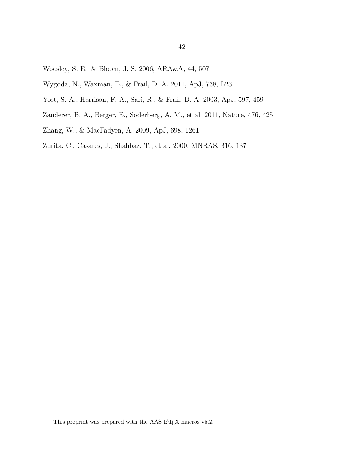- <span id="page-41-2"></span>Woosley, S. E., & Bloom, J. S. 2006, ARA&A, 44, 507
- <span id="page-41-5"></span>Wygoda, N., Waxman, E., & Frail, D. A. 2011, ApJ, 738, L23
- <span id="page-41-4"></span>Yost, S. A., Harrison, F. A., Sari, R., & Frail, D. A. 2003, ApJ, 597, 459
- <span id="page-41-0"></span>Zauderer, B. A., Berger, E., Soderberg, A. M., et al. 2011, Nature, 476, 425
- <span id="page-41-3"></span>Zhang, W., & MacFadyen, A. 2009, ApJ, 698, 1261
- <span id="page-41-1"></span>Zurita, C., Casares, J., Shahbaz, T., et al. 2000, MNRAS, 316, 137

<span id="page-41-6"></span>This preprint was prepared with the AAS  $\rm \emph{L4}$  macros v5.2.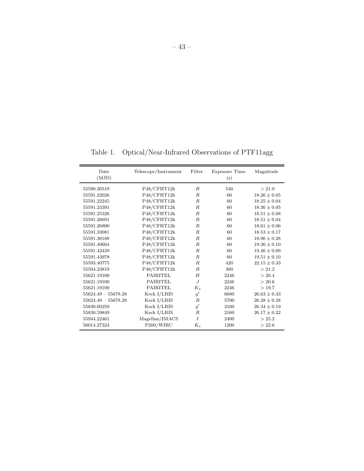Table 1. Optical/Near-Infrared Observations of PTF11agg

| Date<br>(MJD)         | Telescope/Instrument | Filter           | <b>Exposure Time</b><br>(s) | Magnitude        |
|-----------------------|----------------------|------------------|-----------------------------|------------------|
| 55590.30519           | P48/CFHT12k          | $R_{\cdot}$      | 540                         | > 21.9           |
| 55591.22026           | P48/CFHT12k          | $_{R}$           | 60                          | $18.26 \pm 0.05$ |
| 55591.22245           | P48/CFHT12k          | $\boldsymbol{R}$ | 60                          | $18.25 \pm 0.04$ |
| 55591.23391           | P48/CFHT12k          | $\boldsymbol{R}$ | 60                          | $18.36 \pm 0.05$ |
| 55591.25326           | P48/CFHT12k          | R                | 60                          | $18.51 \pm 0.08$ |
| 55591.26691           | P48/CFHT12k          | $\boldsymbol{R}$ | 60                          | $18.51 \pm 0.04$ |
| 55591.26800           | P48/CFHT12k          | $\boldsymbol{R}$ | 60                          | $18.61 \pm 0.06$ |
| 55591.33081           | P48/CFHT12k          | $\boldsymbol{R}$ | 60                          | $18.53 \pm 0.17$ |
| 55591.36188           | P48/CFHT12k          | $\boldsymbol{R}$ | 60                          | $18.96 \pm 0.28$ |
| 55591.40604           | P48/CFHT12k          | $\boldsymbol{R}$ | 60                          | $19.36 \pm 0.10$ |
| 55591.42439           | P48/CFHT12k          | $\boldsymbol{R}$ | 60                          | $19.46 \pm 0.09$ |
| 55591.43978           | P48/CFHT12k          | $\boldsymbol{R}$ | 60                          | $19.51 \pm 0.10$ |
| 55593.40775           | P48/CFHT12k          | $R_{\cdot}$      | 420                         | $22.15 \pm 0.33$ |
| 55594.23819           | P48/CFHT12k          | $\boldsymbol{R}$ | 300                         | > 21.2           |
| 55621.19100           | <b>PAIRITEL</b>      | H                | 2246                        | > 20.4           |
| 55621.19100           | <b>PAIRITEL</b>      | $J_{\cdot}$      | 2246                        | > 20.6           |
| 55621.19100           | <b>PAIRITEL</b>      | $K_s$            | 2246                        | >19.7            |
| $55624.49 - 55678.28$ | Keck I/LRIS          | g'               | 6680                        | $26.63 \pm 0.33$ |
| $55624.49 - 55678.28$ | Keck I/LRIS          | R                | 5700                        | $26.28 \pm 0.28$ |
| 55830.60259           | Keck I/LRIS          | q'               | 2100                        | $26.34 \pm 0.19$ |
| 55830.59849           | Keck I/LRIS          | $_{R}$           | 2160                        | $26.17 \pm 0.22$ |
| 55944.22461           | Magellan/IMACS       | $\overline{I}$   | 2400                        | > 25.2           |
| 56014.27324           | P200/WIRC            | $K_s$            | 1200                        | > 22.6           |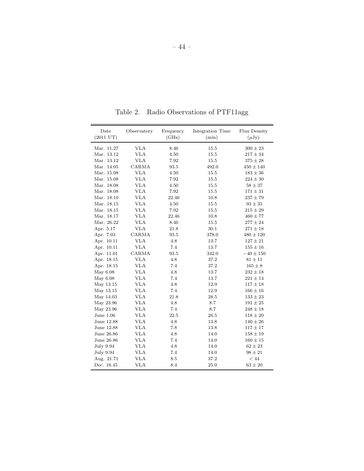| Date<br>$(2011 \text{ UT})$ | Observatory | Frequency<br>(GHz) | Integration Time<br>(min) | Flux Density<br>$(\mu Jy)$ |
|-----------------------------|-------------|--------------------|---------------------------|----------------------------|
|                             |             |                    |                           |                            |
| Mar. 11.27                  | VLA         | 8.46               | 15.5                      | $300 \pm 23$               |
| Mar. 13.12                  | <b>VLA</b>  | 4.50               | 15.5                      | $217 \pm 34$               |
| Mar. 13.12                  | <b>VLA</b>  | 7.92               | 15.5                      | $375 \pm 28$               |
| Mar. 14.05                  | CARMA       | 93.5               | 492.0                     | $450 \pm 140$              |
| Mar. 15.08                  | <b>VLA</b>  | 4.50               | 15.5                      | $183 \pm 36$               |
| Mar. 15.08                  | <b>VLA</b>  | 7.92               | 15.5                      | $224 \pm 30$               |
| Mar. 18.08                  | <b>VLA</b>  | 4.50               | 15.5                      | $58 \pm 37$                |
| Mar. 18.08                  | <b>VLA</b>  | 7.92               | 15.5                      | $171 \pm 31$               |
| Mar. 18.10                  | <b>VLA</b>  | 22.46              | 10.8                      | $237\pm79$                 |
| Mar. 18.15                  | <b>VLA</b>  | 4.50               | 15.5                      | $93 \pm 35$                |
| Mar. 18.15                  | <b>VLA</b>  | 7.92               | 15.5                      | $215 \pm 29$               |
| Mar. 18.17                  | <b>VLA</b>  | 22.46              | 10.8                      | $460 \pm 77$               |
| Mar. 26.22                  | <b>VLA</b>  | 8.46               | 15.5                      | $277 \pm 24$               |
| Apr. 5.17                   | <b>VLA</b>  | 21.8               | 30.1                      | $271 \pm 18$               |
| Apr. 7.03                   | CARMA       | 93.5               | 378.0                     | $480 \pm 120$              |
| Apr. 10.11                  | <b>VLA</b>  | 4.8                | 13.7                      | $127\pm21$                 |
| Apr. 10.11                  | <b>VLA</b>  | 7.4                | 13.7                      | $155\pm16$                 |
| Apr. 11.01                  | CARMA       | 93.5               | 342.0                     | $-40 \pm 150$              |
| Apr. 18.15                  | <b>VLA</b>  | 4.8                | 37.2                      | $81 \pm 11$                |
| Apr. 18.15                  | <b>VLA</b>  | 7.4                | 37.2                      | $165 \pm 8$                |
| May 6.08                    | VLA         | 4.8                | 13.7                      | $232 \pm 18$               |
| May 6.08                    | <b>VLA</b>  | 7.4                | 13.7                      | $221 \pm 14$               |
| May 13.15                   | <b>VLA</b>  | 4.8                | 12.9                      | $117 \pm 18$               |
| May 13.15                   | <b>VLA</b>  | 7.4                | 12.9                      | $166\pm16$                 |
| May 14.03                   | <b>VLA</b>  | 21.8               | 28.5                      | $133 \pm 23$               |
| May 23.96                   | <b>VLA</b>  | 4.8                | 8.7                       | $191 \pm 25$               |
| May 23.96                   | <b>VLA</b>  | 7.4                | 8.7                       | $248 \pm 18$               |
| June $1.06$                 | <b>VLA</b>  | 22.5               | 26.5                      | $118 \pm 20$               |
| June 12.88                  | <b>VLA</b>  | 4.8                | 13.8                      | $140 \pm 26$               |
| June 12.88                  | <b>VLA</b>  | 7.8                | 13.8                      | $117 \pm 17$               |
| June 26.86                  | <b>VLA</b>  | 4.8                | 14.0                      | $158 \pm 19$               |
| June 26.86                  | <b>VLA</b>  | 7.4                | 14.0                      | $160 \pm 15$               |
| July 9.94                   | <b>VLA</b>  | 4.8                | 14.0                      | $62 \pm 23$                |
| July 9.94                   | <b>VLA</b>  | 7.4                | 14.0                      | $98 \pm 21$                |
| Aug. 21.71                  | <b>VLA</b>  | 8.5                | 37.2                      | $<44\,$                    |
| Dec. 16.45                  | <b>VLA</b>  | 8.4                | 25.0                      | $63 \pm 20$                |

<span id="page-43-0"></span>Table 2. Radio Observations of PTF11agg